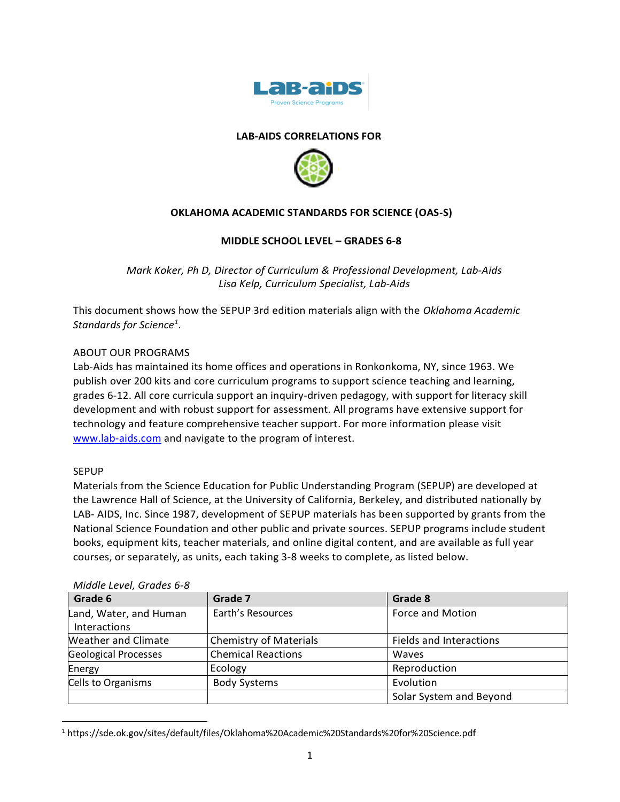

# **LAB-AIDS CORRELATIONS FOR**



## **OKLAHOMA ACADEMIC STANDARDS FOR SCIENCE (OAS-S)**

### **MIDDLE SCHOOL LEVEL – GRADES 6-8**

*Mark Koker, Ph D, Director of Curriculum & Professional Development, Lab-Aids Lisa Kelp, Curriculum Specialist, Lab-Aids*

This document shows how the SEPUP 3rd edition materials align with the *Oklahoma Academic Standards for Science<sup>1</sup>* .

### ABOUT OUR PROGRAMS

Lab-Aids has maintained its home offices and operations in Ronkonkoma, NY, since 1963. We publish over 200 kits and core curriculum programs to support science teaching and learning, grades 6-12. All core curricula support an inquiry-driven pedagogy, with support for literacy skill development and with robust support for assessment. All programs have extensive support for technology and feature comprehensive teacher support. For more information please visit [www.lab-aids.com](http://www.lab-aids.com/) and navigate to the program of interest.

#### SEPUP

Materials from the Science Education for Public Understanding Program (SEPUP) are developed at the Lawrence Hall of Science, at the University of California, Berkeley, and distributed nationally by LAB- AIDS, Inc. Since 1987, development of SEPUP materials has been supported by grants from the National Science Foundation and other public and private sources. SEPUP programs include student books, equipment kits, teacher materials, and online digital content, and are available as full year courses, or separately, as units, each taking 3-8 weeks to complete, as listed below.

| Grade 6                     | Grade 7                       | Grade 8                 |
|-----------------------------|-------------------------------|-------------------------|
| Land, Water, and Human      | Earth's Resources             | Force and Motion        |
| Interactions                |                               |                         |
| <b>Weather and Climate</b>  | <b>Chemistry of Materials</b> | Fields and Interactions |
| <b>Geological Processes</b> | <b>Chemical Reactions</b>     | Waves                   |
| Energy                      | Ecology                       | Reproduction            |
| Cells to Organisms          | <b>Body Systems</b>           | Evolution               |
|                             |                               | Solar System and Beyond |

#### *Middle Level, Grades 6-8*

<sup>1</sup> https://sde.ok.gov/sites/default/files/Oklahoma%20Academic%20Standards%20for%20Science.pdf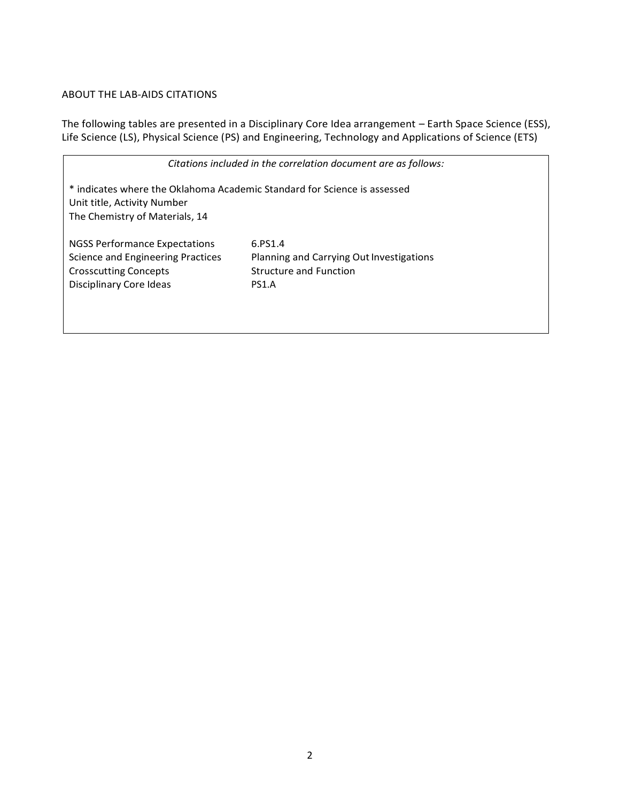# ABOUT THE LAB-AIDS CITATIONS

The following tables are presented in a Disciplinary Core Idea arrangement – Earth Space Science (ESS), Life Science (LS), Physical Science (PS) and Engineering, Technology and Applications of Science (ETS)

| Citations included in the correlation document are as follows:                                                                            |                                                                                               |  |  |  |  |
|-------------------------------------------------------------------------------------------------------------------------------------------|-----------------------------------------------------------------------------------------------|--|--|--|--|
| * indicates where the Oklahoma Academic Standard for Science is assessed<br>Unit title, Activity Number<br>The Chemistry of Materials, 14 |                                                                                               |  |  |  |  |
| NGSS Performance Expectations<br><b>Science and Engineering Practices</b><br><b>Crosscutting Concepts</b><br>Disciplinary Core Ideas      | 6.PS1.4<br>Planning and Carrying Out Investigations<br><b>Structure and Function</b><br>PS1.A |  |  |  |  |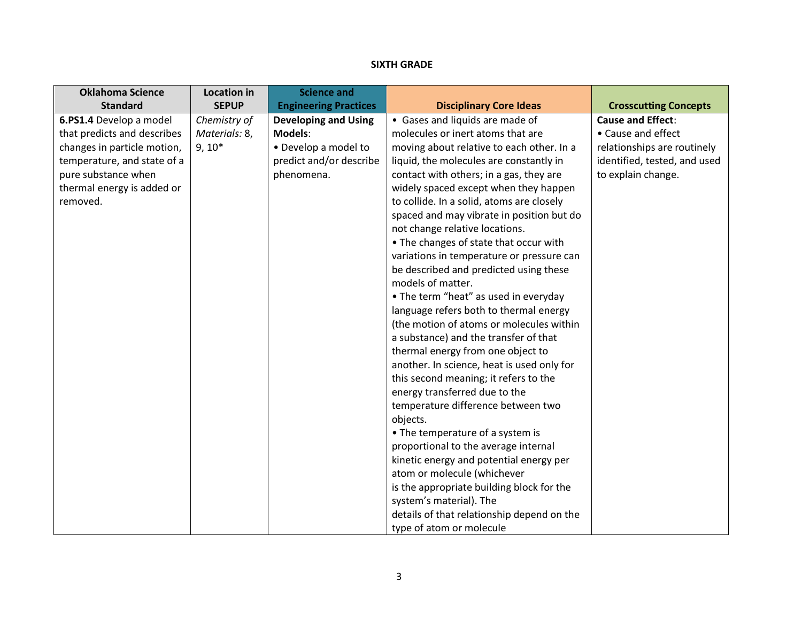# **SIXTH GRADE**

| <b>Oklahoma Science</b>     | <b>Location in</b> | <b>Science and</b>           |                                            |                              |
|-----------------------------|--------------------|------------------------------|--------------------------------------------|------------------------------|
| <b>Standard</b>             | <b>SEPUP</b>       | <b>Engineering Practices</b> | <b>Disciplinary Core Ideas</b>             | <b>Crosscutting Concepts</b> |
| 6.PS1.4 Develop a model     | Chemistry of       | <b>Developing and Using</b>  | • Gases and liquids are made of            | <b>Cause and Effect:</b>     |
| that predicts and describes | Materials: 8,      | Models:                      | molecules or inert atoms that are          | • Cause and effect           |
| changes in particle motion, | $9, 10*$           | • Develop a model to         | moving about relative to each other. In a  | relationships are routinely  |
| temperature, and state of a |                    | predict and/or describe      | liquid, the molecules are constantly in    | identified, tested, and used |
| pure substance when         |                    | phenomena.                   | contact with others; in a gas, they are    | to explain change.           |
| thermal energy is added or  |                    |                              | widely spaced except when they happen      |                              |
| removed.                    |                    |                              | to collide. In a solid, atoms are closely  |                              |
|                             |                    |                              | spaced and may vibrate in position but do  |                              |
|                             |                    |                              | not change relative locations.             |                              |
|                             |                    |                              | • The changes of state that occur with     |                              |
|                             |                    |                              | variations in temperature or pressure can  |                              |
|                             |                    |                              | be described and predicted using these     |                              |
|                             |                    |                              | models of matter.                          |                              |
|                             |                    |                              | • The term "heat" as used in everyday      |                              |
|                             |                    |                              | language refers both to thermal energy     |                              |
|                             |                    |                              | (the motion of atoms or molecules within   |                              |
|                             |                    |                              | a substance) and the transfer of that      |                              |
|                             |                    |                              | thermal energy from one object to          |                              |
|                             |                    |                              | another. In science, heat is used only for |                              |
|                             |                    |                              | this second meaning; it refers to the      |                              |
|                             |                    |                              | energy transferred due to the              |                              |
|                             |                    |                              | temperature difference between two         |                              |
|                             |                    |                              | objects.                                   |                              |
|                             |                    |                              | • The temperature of a system is           |                              |
|                             |                    |                              | proportional to the average internal       |                              |
|                             |                    |                              | kinetic energy and potential energy per    |                              |
|                             |                    |                              | atom or molecule (whichever                |                              |
|                             |                    |                              | is the appropriate building block for the  |                              |
|                             |                    |                              | system's material). The                    |                              |
|                             |                    |                              | details of that relationship depend on the |                              |
|                             |                    |                              | type of atom or molecule                   |                              |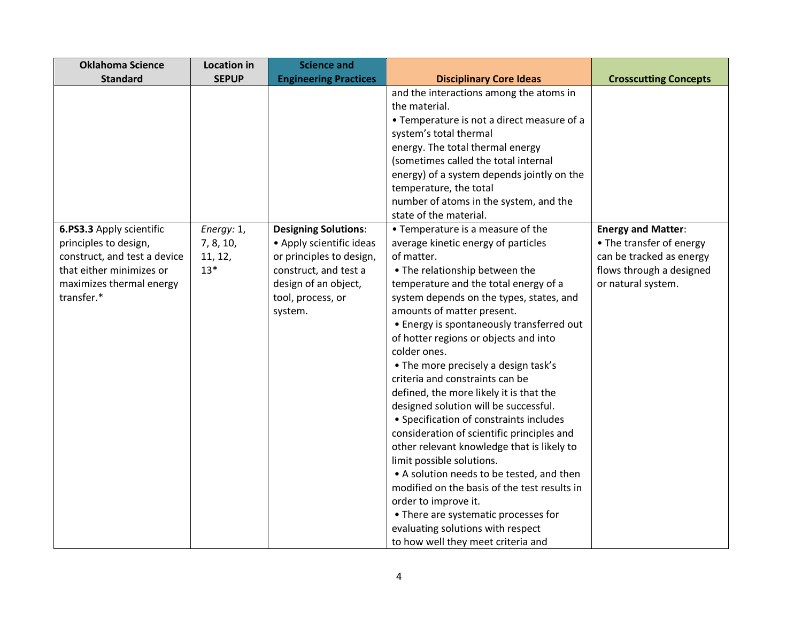| <b>Crosscutting Concepts</b> |
|------------------------------|
|                              |
|                              |
|                              |
|                              |
|                              |
|                              |
|                              |
|                              |
|                              |
|                              |
|                              |
| <b>Energy and Matter:</b>    |
| • The transfer of energy     |
| can be tracked as energy     |
| flows through a designed     |
|                              |
|                              |
|                              |
|                              |
|                              |
|                              |
|                              |
|                              |
|                              |
|                              |
|                              |
|                              |
|                              |
|                              |
|                              |
|                              |
|                              |
|                              |
|                              |
| or natural system.           |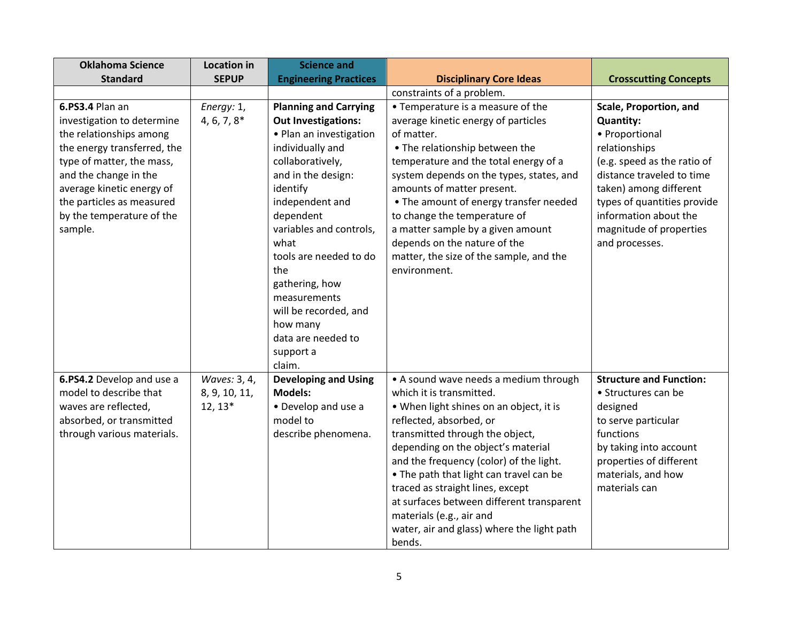| <b>Oklahoma Science</b>     | <b>Location in</b> | <b>Science and</b>           |                                            |                                |
|-----------------------------|--------------------|------------------------------|--------------------------------------------|--------------------------------|
| <b>Standard</b>             | <b>SEPUP</b>       | <b>Engineering Practices</b> | <b>Disciplinary Core Ideas</b>             | <b>Crosscutting Concepts</b>   |
|                             |                    |                              | constraints of a problem.                  |                                |
| 6.PS3.4 Plan an             | Energy: 1,         | <b>Planning and Carrying</b> | • Temperature is a measure of the          | Scale, Proportion, and         |
| investigation to determine  | $4, 6, 7, 8*$      | <b>Out Investigations:</b>   | average kinetic energy of particles        | <b>Quantity:</b>               |
| the relationships among     |                    | • Plan an investigation      | of matter.                                 | • Proportional                 |
| the energy transferred, the |                    | individually and             | • The relationship between the             | relationships                  |
| type of matter, the mass,   |                    | collaboratively,             | temperature and the total energy of a      | (e.g. speed as the ratio of    |
| and the change in the       |                    | and in the design:           | system depends on the types, states, and   | distance traveled to time      |
| average kinetic energy of   |                    | identify                     | amounts of matter present.                 | taken) among different         |
| the particles as measured   |                    | independent and              | • The amount of energy transfer needed     | types of quantities provide    |
| by the temperature of the   |                    | dependent                    | to change the temperature of               | information about the          |
| sample.                     |                    | variables and controls,      | a matter sample by a given amount          | magnitude of properties        |
|                             |                    | what                         | depends on the nature of the               | and processes.                 |
|                             |                    | tools are needed to do       | matter, the size of the sample, and the    |                                |
|                             |                    | the                          | environment.                               |                                |
|                             |                    | gathering, how               |                                            |                                |
|                             |                    | measurements                 |                                            |                                |
|                             |                    | will be recorded, and        |                                            |                                |
|                             |                    | how many                     |                                            |                                |
|                             |                    | data are needed to           |                                            |                                |
|                             |                    | support a                    |                                            |                                |
|                             |                    | claim.                       |                                            |                                |
| 6.PS4.2 Develop and use a   | Waves: 3, 4,       | <b>Developing and Using</b>  | • A sound wave needs a medium through      | <b>Structure and Function:</b> |
| model to describe that      | 8, 9, 10, 11,      | <b>Models:</b>               | which it is transmitted.                   | • Structures can be            |
| waves are reflected,        | $12, 13*$          | • Develop and use a          | • When light shines on an object, it is    | designed                       |
| absorbed, or transmitted    |                    | model to                     | reflected, absorbed, or                    | to serve particular            |
| through various materials.  |                    | describe phenomena.          | transmitted through the object,            | functions                      |
|                             |                    |                              | depending on the object's material         | by taking into account         |
|                             |                    |                              | and the frequency (color) of the light.    | properties of different        |
|                             |                    |                              | • The path that light can travel can be    | materials, and how             |
|                             |                    |                              | traced as straight lines, except           | materials can                  |
|                             |                    |                              | at surfaces between different transparent  |                                |
|                             |                    |                              | materials (e.g., air and                   |                                |
|                             |                    |                              | water, air and glass) where the light path |                                |
|                             |                    |                              | bends.                                     |                                |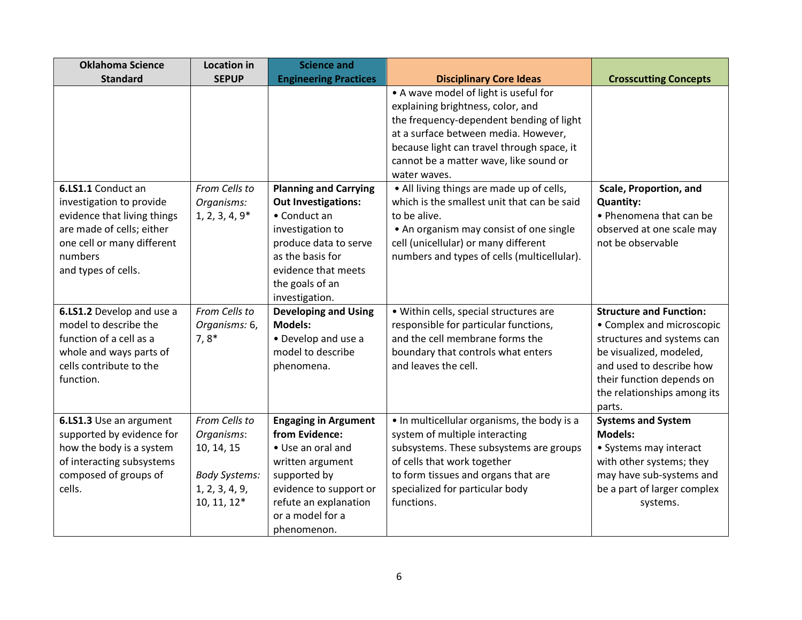| <b>Oklahoma Science</b>                                                                                                                                                    | <b>Location in</b>                                                                                 | <b>Science and</b>                                                                                                                                                                                      |                                                                                                                                                                                                                                                                        |                                                                                                                                                                                                                        |
|----------------------------------------------------------------------------------------------------------------------------------------------------------------------------|----------------------------------------------------------------------------------------------------|---------------------------------------------------------------------------------------------------------------------------------------------------------------------------------------------------------|------------------------------------------------------------------------------------------------------------------------------------------------------------------------------------------------------------------------------------------------------------------------|------------------------------------------------------------------------------------------------------------------------------------------------------------------------------------------------------------------------|
| <b>Standard</b>                                                                                                                                                            | <b>SEPUP</b>                                                                                       | <b>Engineering Practices</b>                                                                                                                                                                            | <b>Disciplinary Core Ideas</b>                                                                                                                                                                                                                                         | <b>Crosscutting Concepts</b>                                                                                                                                                                                           |
|                                                                                                                                                                            |                                                                                                    |                                                                                                                                                                                                         | • A wave model of light is useful for<br>explaining brightness, color, and<br>the frequency-dependent bending of light<br>at a surface between media. However,<br>because light can travel through space, it<br>cannot be a matter wave, like sound or<br>water waves. |                                                                                                                                                                                                                        |
| 6.LS1.1 Conduct an<br>investigation to provide<br>evidence that living things<br>are made of cells; either<br>one cell or many different<br>numbers<br>and types of cells. | From Cells to<br>Organisms:<br>$1, 2, 3, 4, 9*$                                                    | <b>Planning and Carrying</b><br><b>Out Investigations:</b><br>• Conduct an<br>investigation to<br>produce data to serve<br>as the basis for<br>evidence that meets<br>the goals of an<br>investigation. | • All living things are made up of cells,<br>which is the smallest unit that can be said<br>to be alive.<br>• An organism may consist of one single<br>cell (unicellular) or many different<br>numbers and types of cells (multicellular).                             | Scale, Proportion, and<br><b>Quantity:</b><br>• Phenomena that can be<br>observed at one scale may<br>not be observable                                                                                                |
| 6.LS1.2 Develop and use a<br>model to describe the<br>function of a cell as a<br>whole and ways parts of<br>cells contribute to the<br>function.                           | From Cells to<br>Organisms: 6,<br>$7,8*$                                                           | <b>Developing and Using</b><br><b>Models:</b><br>• Develop and use a<br>model to describe<br>phenomena.                                                                                                 | · Within cells, special structures are<br>responsible for particular functions,<br>and the cell membrane forms the<br>boundary that controls what enters<br>and leaves the cell.                                                                                       | <b>Structure and Function:</b><br>• Complex and microscopic<br>structures and systems can<br>be visualized, modeled,<br>and used to describe how<br>their function depends on<br>the relationships among its<br>parts. |
| 6.LS1.3 Use an argument<br>supported by evidence for<br>how the body is a system<br>of interacting subsystems<br>composed of groups of<br>cells.                           | From Cells to<br>Organisms:<br>10, 14, 15<br><b>Body Systems:</b><br>1, 2, 3, 4, 9,<br>10, 11, 12* | <b>Engaging in Argument</b><br>from Evidence:<br>• Use an oral and<br>written argument<br>supported by<br>evidence to support or<br>refute an explanation<br>or a model for a<br>phenomenon.            | • In multicellular organisms, the body is a<br>system of multiple interacting<br>subsystems. These subsystems are groups<br>of cells that work together<br>to form tissues and organs that are<br>specialized for particular body<br>functions.                        | <b>Systems and System</b><br><b>Models:</b><br>• Systems may interact<br>with other systems; they<br>may have sub-systems and<br>be a part of larger complex<br>systems.                                               |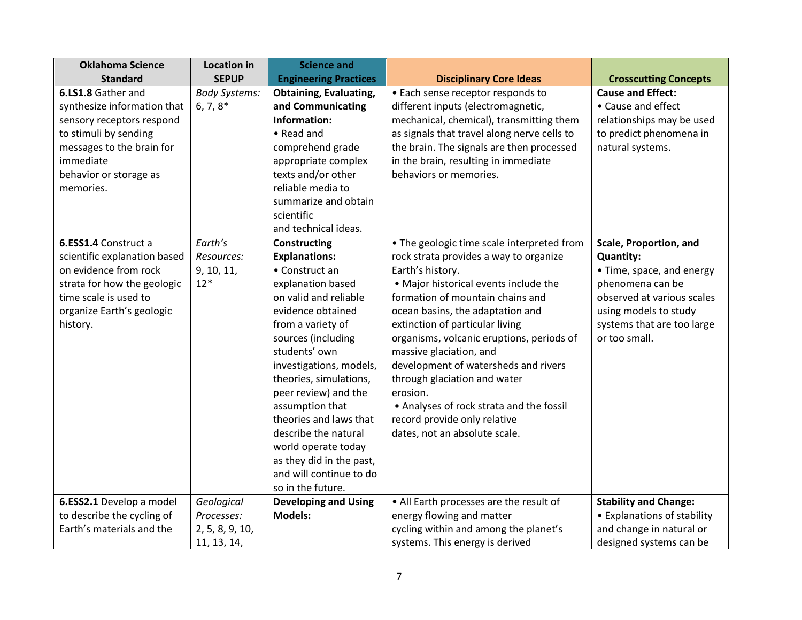| <b>Oklahoma Science</b>                                                                                                                                                                  | <b>Location in</b>                                         | <b>Science and</b>                                                                                                                                                                                                                                                                                                                                                                                                                         |                                                                                                                                                                                                                                                                                                                                                                                                                                                                                                                                       |                                                                                                                                                                                                   |
|------------------------------------------------------------------------------------------------------------------------------------------------------------------------------------------|------------------------------------------------------------|--------------------------------------------------------------------------------------------------------------------------------------------------------------------------------------------------------------------------------------------------------------------------------------------------------------------------------------------------------------------------------------------------------------------------------------------|---------------------------------------------------------------------------------------------------------------------------------------------------------------------------------------------------------------------------------------------------------------------------------------------------------------------------------------------------------------------------------------------------------------------------------------------------------------------------------------------------------------------------------------|---------------------------------------------------------------------------------------------------------------------------------------------------------------------------------------------------|
| <b>Standard</b>                                                                                                                                                                          | <b>SEPUP</b>                                               | <b>Engineering Practices</b>                                                                                                                                                                                                                                                                                                                                                                                                               | <b>Disciplinary Core Ideas</b>                                                                                                                                                                                                                                                                                                                                                                                                                                                                                                        | <b>Crosscutting Concepts</b>                                                                                                                                                                      |
| 6.LS1.8 Gather and<br>synthesize information that<br>sensory receptors respond<br>to stimuli by sending<br>messages to the brain for<br>immediate<br>behavior or storage as<br>memories. | <b>Body Systems:</b><br>$6, 7, 8^*$                        | <b>Obtaining, Evaluating,</b><br>and Communicating<br>Information:<br>• Read and<br>comprehend grade<br>appropriate complex<br>texts and/or other<br>reliable media to<br>summarize and obtain<br>scientific<br>and technical ideas.                                                                                                                                                                                                       | • Each sense receptor responds to<br>different inputs (electromagnetic,<br>mechanical, chemical), transmitting them<br>as signals that travel along nerve cells to<br>the brain. The signals are then processed<br>in the brain, resulting in immediate<br>behaviors or memories.                                                                                                                                                                                                                                                     | <b>Cause and Effect:</b><br>• Cause and effect<br>relationships may be used<br>to predict phenomena in<br>natural systems.                                                                        |
| 6.ESS1.4 Construct a<br>scientific explanation based<br>on evidence from rock<br>strata for how the geologic<br>time scale is used to<br>organize Earth's geologic<br>history.           | Earth's<br>Resources:<br>9, 10, 11,<br>$12*$               | Constructing<br><b>Explanations:</b><br>• Construct an<br>explanation based<br>on valid and reliable<br>evidence obtained<br>from a variety of<br>sources (including<br>students' own<br>investigations, models,<br>theories, simulations,<br>peer review) and the<br>assumption that<br>theories and laws that<br>describe the natural<br>world operate today<br>as they did in the past,<br>and will continue to do<br>so in the future. | • The geologic time scale interpreted from<br>rock strata provides a way to organize<br>Earth's history.<br>• Major historical events include the<br>formation of mountain chains and<br>ocean basins, the adaptation and<br>extinction of particular living<br>organisms, volcanic eruptions, periods of<br>massive glaciation, and<br>development of watersheds and rivers<br>through glaciation and water<br>erosion.<br>• Analyses of rock strata and the fossil<br>record provide only relative<br>dates, not an absolute scale. | Scale, Proportion, and<br><b>Quantity:</b><br>• Time, space, and energy<br>phenomena can be<br>observed at various scales<br>using models to study<br>systems that are too large<br>or too small. |
| 6.ESS2.1 Develop a model<br>to describe the cycling of<br>Earth's materials and the                                                                                                      | Geological<br>Processes:<br>2, 5, 8, 9, 10,<br>11, 13, 14, | <b>Developing and Using</b><br><b>Models:</b>                                                                                                                                                                                                                                                                                                                                                                                              | • All Earth processes are the result of<br>energy flowing and matter<br>cycling within and among the planet's<br>systems. This energy is derived                                                                                                                                                                                                                                                                                                                                                                                      | <b>Stability and Change:</b><br>• Explanations of stability<br>and change in natural or<br>designed systems can be                                                                                |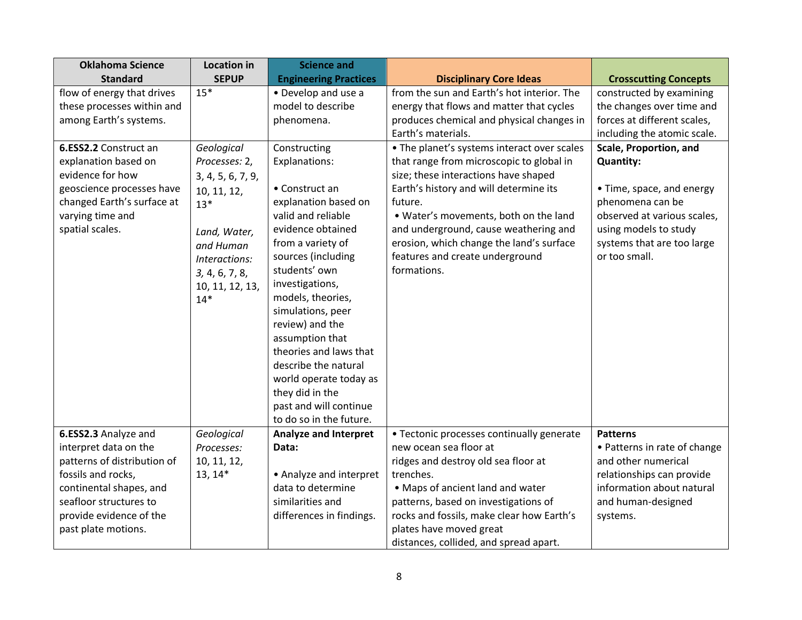| <b>Oklahoma Science</b>     | <b>Location in</b> | <b>Science and</b>           |                                             |                               |
|-----------------------------|--------------------|------------------------------|---------------------------------------------|-------------------------------|
| <b>Standard</b>             | <b>SEPUP</b>       | <b>Engineering Practices</b> | <b>Disciplinary Core Ideas</b>              | <b>Crosscutting Concepts</b>  |
| flow of energy that drives  | $15*$              | • Develop and use a          | from the sun and Earth's hot interior. The  | constructed by examining      |
| these processes within and  |                    | model to describe            | energy that flows and matter that cycles    | the changes over time and     |
| among Earth's systems.      |                    | phenomena.                   | produces chemical and physical changes in   | forces at different scales,   |
|                             |                    |                              | Earth's materials.                          | including the atomic scale.   |
| 6.ESS2.2 Construct an       | Geological         | Constructing                 | • The planet's systems interact over scales | <b>Scale, Proportion, and</b> |
| explanation based on        | Processes: 2,      | Explanations:                | that range from microscopic to global in    | <b>Quantity:</b>              |
| evidence for how            | 3, 4, 5, 6, 7, 9,  |                              | size; these interactions have shaped        |                               |
| geoscience processes have   | 10, 11, 12,        | • Construct an               | Earth's history and will determine its      | • Time, space, and energy     |
| changed Earth's surface at  | $13*$              | explanation based on         | future.                                     | phenomena can be              |
| varying time and            |                    | valid and reliable           | . Water's movements, both on the land       | observed at various scales.   |
| spatial scales.             | Land, Water,       | evidence obtained            | and underground, cause weathering and       | using models to study         |
|                             | and Human          | from a variety of            | erosion, which change the land's surface    | systems that are too large    |
|                             | Interactions:      | sources (including           | features and create underground             | or too small.                 |
|                             | 3, 4, 6, 7, 8,     | students' own                | formations.                                 |                               |
|                             | 10, 11, 12, 13,    | investigations,              |                                             |                               |
|                             | $14*$              | models, theories,            |                                             |                               |
|                             |                    | simulations, peer            |                                             |                               |
|                             |                    | review) and the              |                                             |                               |
|                             |                    | assumption that              |                                             |                               |
|                             |                    | theories and laws that       |                                             |                               |
|                             |                    | describe the natural         |                                             |                               |
|                             |                    | world operate today as       |                                             |                               |
|                             |                    | they did in the              |                                             |                               |
|                             |                    | past and will continue       |                                             |                               |
|                             |                    | to do so in the future.      |                                             |                               |
| 6.ESS2.3 Analyze and        | Geological         | <b>Analyze and Interpret</b> | • Tectonic processes continually generate   | <b>Patterns</b>               |
| interpret data on the       | Processes:         | Data:                        | new ocean sea floor at                      | • Patterns in rate of change  |
| patterns of distribution of | 10, 11, 12,        |                              | ridges and destroy old sea floor at         | and other numerical           |
| fossils and rocks,          | $13, 14*$          | • Analyze and interpret      | trenches.                                   | relationships can provide     |
| continental shapes, and     |                    | data to determine            | • Maps of ancient land and water            | information about natural     |
| seafloor structures to      |                    | similarities and             | patterns, based on investigations of        | and human-designed            |
| provide evidence of the     |                    | differences in findings.     | rocks and fossils, make clear how Earth's   | systems.                      |
| past plate motions.         |                    |                              | plates have moved great                     |                               |
|                             |                    |                              | distances, collided, and spread apart.      |                               |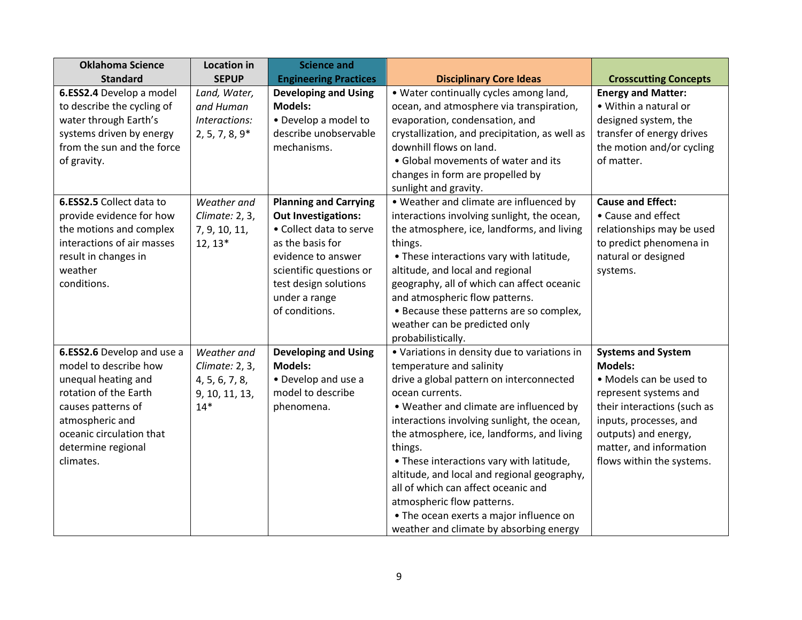| <b>Oklahoma Science</b>                                                                                                                                                                                     | <b>Location in</b>                                                         | <b>Science and</b>                                                                                                                                                                                                     |                                                                                                                                                                                                                                                                                                                                                                                                                                                                                                                                                  |                                                                                                                                                                                                                                          |
|-------------------------------------------------------------------------------------------------------------------------------------------------------------------------------------------------------------|----------------------------------------------------------------------------|------------------------------------------------------------------------------------------------------------------------------------------------------------------------------------------------------------------------|--------------------------------------------------------------------------------------------------------------------------------------------------------------------------------------------------------------------------------------------------------------------------------------------------------------------------------------------------------------------------------------------------------------------------------------------------------------------------------------------------------------------------------------------------|------------------------------------------------------------------------------------------------------------------------------------------------------------------------------------------------------------------------------------------|
| <b>Standard</b>                                                                                                                                                                                             | <b>SEPUP</b>                                                               | <b>Engineering Practices</b>                                                                                                                                                                                           | <b>Disciplinary Core Ideas</b>                                                                                                                                                                                                                                                                                                                                                                                                                                                                                                                   | <b>Crosscutting Concepts</b>                                                                                                                                                                                                             |
| 6.ESS2.4 Develop a model<br>to describe the cycling of<br>water through Earth's<br>systems driven by energy<br>from the sun and the force<br>of gravity.                                                    | Land, Water,<br>and Human<br>Interactions:<br>$2, 5, 7, 8, 9*$             | <b>Developing and Using</b><br><b>Models:</b><br>• Develop a model to<br>describe unobservable<br>mechanisms.                                                                                                          | • Water continually cycles among land,<br>ocean, and atmosphere via transpiration,<br>evaporation, condensation, and<br>crystallization, and precipitation, as well as<br>downhill flows on land.<br>• Global movements of water and its<br>changes in form are propelled by<br>sunlight and gravity.                                                                                                                                                                                                                                            | <b>Energy and Matter:</b><br>• Within a natural or<br>designed system, the<br>transfer of energy drives<br>the motion and/or cycling<br>of matter.                                                                                       |
| 6.ESS2.5 Collect data to<br>provide evidence for how<br>the motions and complex<br>interactions of air masses<br>result in changes in<br>weather<br>conditions.                                             | Weather and<br>Climate: 2, 3,<br>7, 9, 10, 11,<br>$12, 13*$                | <b>Planning and Carrying</b><br><b>Out Investigations:</b><br>• Collect data to serve<br>as the basis for<br>evidence to answer<br>scientific questions or<br>test design solutions<br>under a range<br>of conditions. | • Weather and climate are influenced by<br>interactions involving sunlight, the ocean,<br>the atmosphere, ice, landforms, and living<br>things.<br>. These interactions vary with latitude,<br>altitude, and local and regional<br>geography, all of which can affect oceanic<br>and atmospheric flow patterns.<br>• Because these patterns are so complex,<br>weather can be predicted only<br>probabilistically.                                                                                                                               | <b>Cause and Effect:</b><br>• Cause and effect<br>relationships may be used<br>to predict phenomena in<br>natural or designed<br>systems.                                                                                                |
| 6.ESS2.6 Develop and use a<br>model to describe how<br>unequal heating and<br>rotation of the Earth<br>causes patterns of<br>atmospheric and<br>oceanic circulation that<br>determine regional<br>climates. | Weather and<br>Climate: 2, 3,<br>4, 5, 6, 7, 8,<br>9, 10, 11, 13,<br>$14*$ | <b>Developing and Using</b><br><b>Models:</b><br>• Develop and use a<br>model to describe<br>phenomena.                                                                                                                | • Variations in density due to variations in<br>temperature and salinity<br>drive a global pattern on interconnected<br>ocean currents.<br>• Weather and climate are influenced by<br>interactions involving sunlight, the ocean,<br>the atmosphere, ice, landforms, and living<br>things.<br>. These interactions vary with latitude,<br>altitude, and local and regional geography,<br>all of which can affect oceanic and<br>atmospheric flow patterns.<br>• The ocean exerts a major influence on<br>weather and climate by absorbing energy | <b>Systems and System</b><br><b>Models:</b><br>• Models can be used to<br>represent systems and<br>their interactions (such as<br>inputs, processes, and<br>outputs) and energy,<br>matter, and information<br>flows within the systems. |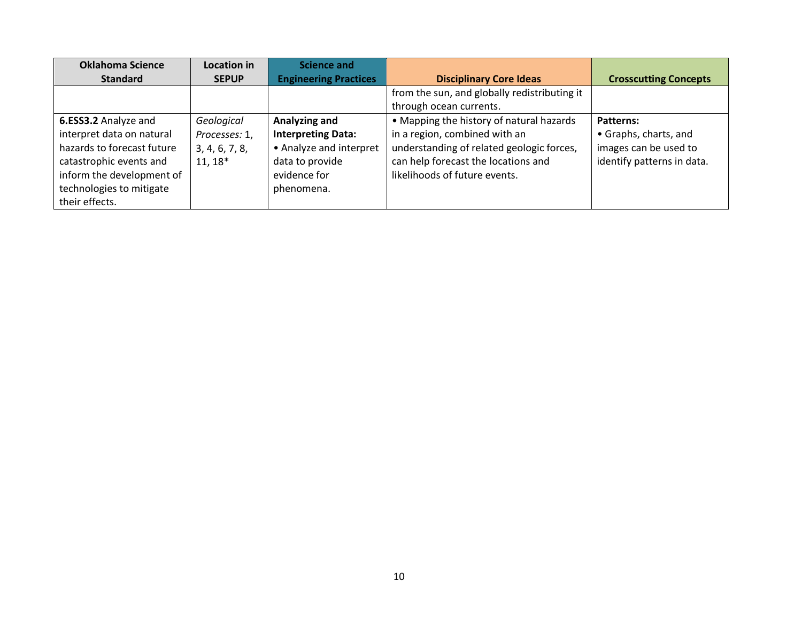| <b>Oklahoma Science</b>    | Location in    | Science and                  |                                              |                              |
|----------------------------|----------------|------------------------------|----------------------------------------------|------------------------------|
| <b>Standard</b>            | <b>SEPUP</b>   | <b>Engineering Practices</b> | <b>Disciplinary Core Ideas</b>               | <b>Crosscutting Concepts</b> |
|                            |                |                              | from the sun, and globally redistributing it |                              |
|                            |                |                              | through ocean currents.                      |                              |
| 6.ESS3.2 Analyze and       | Geological     | Analyzing and                | • Mapping the history of natural hazards     | Patterns:                    |
| interpret data on natural  | Processes: 1,  | <b>Interpreting Data:</b>    | in a region, combined with an                | • Graphs, charts, and        |
| hazards to forecast future | 3, 4, 6, 7, 8, | • Analyze and interpret      | understanding of related geologic forces,    | images can be used to        |
| catastrophic events and    | $11, 18*$      | data to provide              | can help forecast the locations and          | identify patterns in data.   |
| inform the development of  |                | evidence for                 | likelihoods of future events.                |                              |
| technologies to mitigate   |                | phenomena.                   |                                              |                              |
| their effects.             |                |                              |                                              |                              |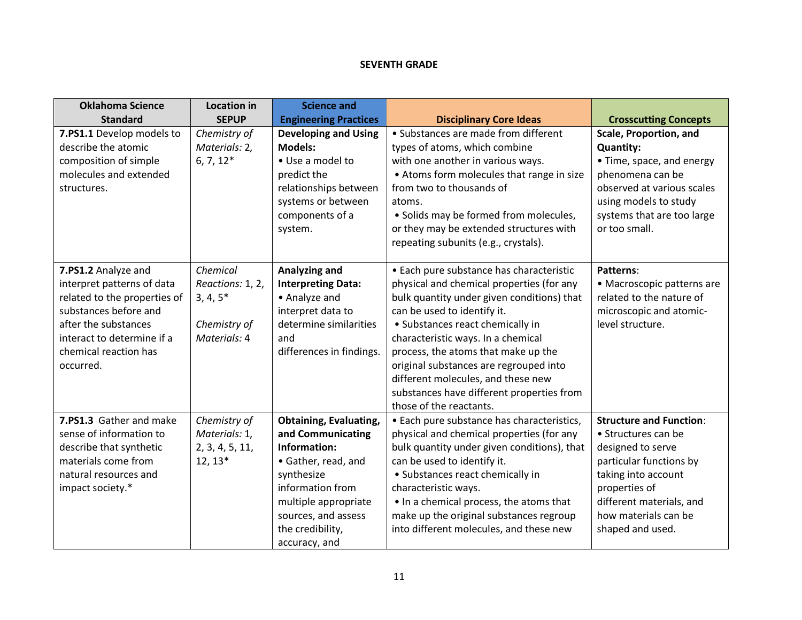### **SEVENTH GRADE**

| <b>Oklahoma Science</b><br><b>Standard</b>                                                                                                                                                             | <b>Location in</b><br><b>SEPUP</b>                                         | <b>Science and</b><br><b>Engineering Practices</b>                                                                                                                                                              | <b>Disciplinary Core Ideas</b>                                                                                                                                                                                                                                                                                                                                                                                                              | <b>Crosscutting Concepts</b>                                                                                                                                                                                          |
|--------------------------------------------------------------------------------------------------------------------------------------------------------------------------------------------------------|----------------------------------------------------------------------------|-----------------------------------------------------------------------------------------------------------------------------------------------------------------------------------------------------------------|---------------------------------------------------------------------------------------------------------------------------------------------------------------------------------------------------------------------------------------------------------------------------------------------------------------------------------------------------------------------------------------------------------------------------------------------|-----------------------------------------------------------------------------------------------------------------------------------------------------------------------------------------------------------------------|
| 7.PS1.1 Develop models to<br>describe the atomic<br>composition of simple<br>molecules and extended<br>structures.                                                                                     | Chemistry of<br>Materials: 2,<br>$6, 7, 12*$                               | <b>Developing and Using</b><br><b>Models:</b><br>• Use a model to<br>predict the<br>relationships between<br>systems or between<br>components of a<br>system.                                                   | • Substances are made from different<br>types of atoms, which combine<br>with one another in various ways.<br>• Atoms form molecules that range in size<br>from two to thousands of<br>atoms.<br>• Solids may be formed from molecules,<br>or they may be extended structures with<br>repeating subunits (e.g., crystals).                                                                                                                  | <b>Scale, Proportion, and</b><br><b>Quantity:</b><br>• Time, space, and energy<br>phenomena can be<br>observed at various scales<br>using models to study<br>systems that are too large<br>or too small.              |
| 7.PS1.2 Analyze and<br>interpret patterns of data<br>related to the properties of<br>substances before and<br>after the substances<br>interact to determine if a<br>chemical reaction has<br>occurred. | Chemical<br>Reactions: 1, 2,<br>$3, 4, 5*$<br>Chemistry of<br>Materials: 4 | Analyzing and<br><b>Interpreting Data:</b><br>• Analyze and<br>interpret data to<br>determine similarities<br>and<br>differences in findings.                                                                   | • Each pure substance has characteristic<br>physical and chemical properties (for any<br>bulk quantity under given conditions) that<br>can be used to identify it.<br>• Substances react chemically in<br>characteristic ways. In a chemical<br>process, the atoms that make up the<br>original substances are regrouped into<br>different molecules, and these new<br>substances have different properties from<br>those of the reactants. | Patterns:<br>• Macroscopic patterns are<br>related to the nature of<br>microscopic and atomic-<br>level structure.                                                                                                    |
| 7.PS1.3 Gather and make<br>sense of information to<br>describe that synthetic<br>materials come from<br>natural resources and<br>impact society.*                                                      | Chemistry of<br>Materials: 1,<br>2, 3, 4, 5, 11,<br>$12, 13*$              | <b>Obtaining, Evaluating,</b><br>and Communicating<br>Information:<br>• Gather, read, and<br>synthesize<br>information from<br>multiple appropriate<br>sources, and assess<br>the credibility,<br>accuracy, and | • Each pure substance has characteristics,<br>physical and chemical properties (for any<br>bulk quantity under given conditions), that<br>can be used to identify it.<br>• Substances react chemically in<br>characteristic ways.<br>. In a chemical process, the atoms that<br>make up the original substances regroup<br>into different molecules, and these new                                                                          | <b>Structure and Function:</b><br>• Structures can be<br>designed to serve<br>particular functions by<br>taking into account<br>properties of<br>different materials, and<br>how materials can be<br>shaped and used. |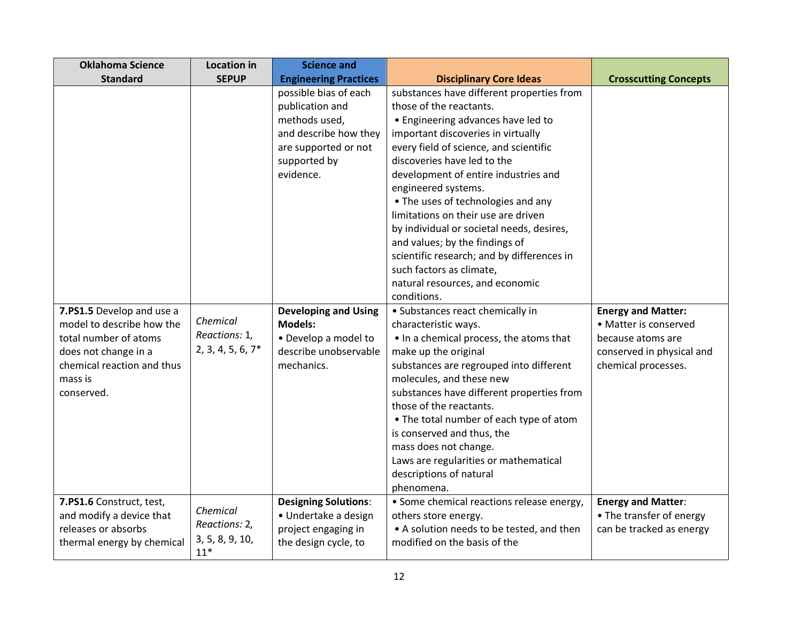| <b>Oklahoma Science</b>                                                                                                                                        | <b>Location in</b>                                    | <b>Science and</b>                                                                                                                      |                                                                                                                                                                                                                                                                                                                                                                                                                                                                                                                                                                   |                                                                                                                             |
|----------------------------------------------------------------------------------------------------------------------------------------------------------------|-------------------------------------------------------|-----------------------------------------------------------------------------------------------------------------------------------------|-------------------------------------------------------------------------------------------------------------------------------------------------------------------------------------------------------------------------------------------------------------------------------------------------------------------------------------------------------------------------------------------------------------------------------------------------------------------------------------------------------------------------------------------------------------------|-----------------------------------------------------------------------------------------------------------------------------|
| <b>Standard</b>                                                                                                                                                | <b>SEPUP</b>                                          | <b>Engineering Practices</b>                                                                                                            | <b>Disciplinary Core Ideas</b>                                                                                                                                                                                                                                                                                                                                                                                                                                                                                                                                    | <b>Crosscutting Concepts</b>                                                                                                |
|                                                                                                                                                                |                                                       | possible bias of each<br>publication and<br>methods used,<br>and describe how they<br>are supported or not<br>supported by<br>evidence. | substances have different properties from<br>those of the reactants.<br>• Engineering advances have led to<br>important discoveries in virtually<br>every field of science, and scientific<br>discoveries have led to the<br>development of entire industries and<br>engineered systems.<br>• The uses of technologies and any<br>limitations on their use are driven<br>by individual or societal needs, desires,<br>and values; by the findings of<br>scientific research; and by differences in<br>such factors as climate,<br>natural resources, and economic |                                                                                                                             |
|                                                                                                                                                                |                                                       |                                                                                                                                         | conditions.                                                                                                                                                                                                                                                                                                                                                                                                                                                                                                                                                       |                                                                                                                             |
| 7.PS1.5 Develop and use a<br>model to describe how the<br>total number of atoms<br>does not change in a<br>chemical reaction and thus<br>mass is<br>conserved. | Chemical<br>Reactions: 1,<br>$2, 3, 4, 5, 6, 7*$      | <b>Developing and Using</b><br><b>Models:</b><br>• Develop a model to<br>describe unobservable<br>mechanics.                            | • Substances react chemically in<br>characteristic ways.<br>. In a chemical process, the atoms that<br>make up the original<br>substances are regrouped into different<br>molecules, and these new<br>substances have different properties from<br>those of the reactants.<br>• The total number of each type of atom<br>is conserved and thus, the<br>mass does not change.<br>Laws are regularities or mathematical<br>descriptions of natural<br>phenomena.                                                                                                    | <b>Energy and Matter:</b><br>• Matter is conserved<br>because atoms are<br>conserved in physical and<br>chemical processes. |
| 7.PS1.6 Construct, test,<br>and modify a device that<br>releases or absorbs<br>thermal energy by chemical                                                      | Chemical<br>Reactions: 2,<br>3, 5, 8, 9, 10,<br>$11*$ | <b>Designing Solutions:</b><br>· Undertake a design<br>project engaging in<br>the design cycle, to                                      | • Some chemical reactions release energy,<br>others store energy.<br>• A solution needs to be tested, and then<br>modified on the basis of the                                                                                                                                                                                                                                                                                                                                                                                                                    | <b>Energy and Matter:</b><br>• The transfer of energy<br>can be tracked as energy                                           |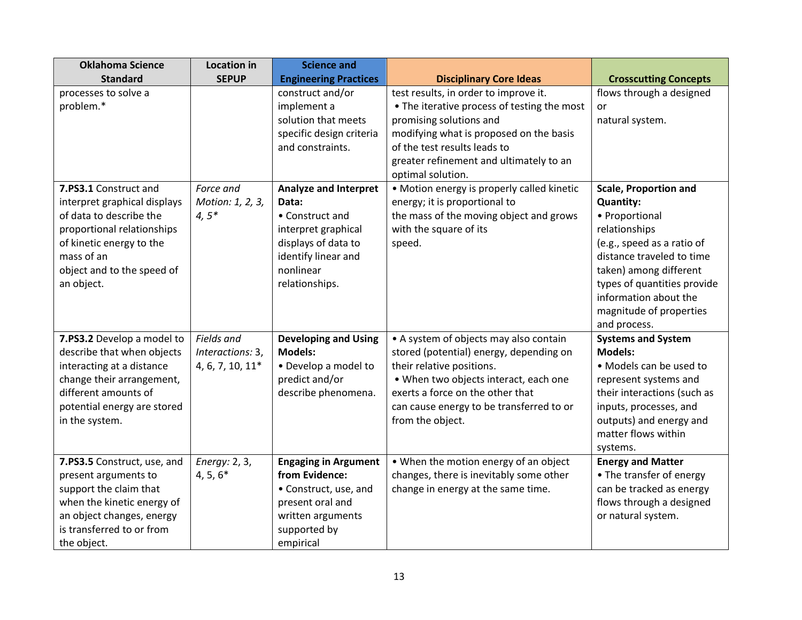| <b>Oklahoma Science</b>      | <b>Location in</b> | <b>Science and</b>           |                                             |                              |
|------------------------------|--------------------|------------------------------|---------------------------------------------|------------------------------|
| <b>Standard</b>              | <b>SEPUP</b>       | <b>Engineering Practices</b> | <b>Disciplinary Core Ideas</b>              | <b>Crosscutting Concepts</b> |
| processes to solve a         |                    | construct and/or             | test results, in order to improve it.       | flows through a designed     |
| problem.*                    |                    | implement a                  | • The iterative process of testing the most | or                           |
|                              |                    | solution that meets          | promising solutions and                     | natural system.              |
|                              |                    | specific design criteria     | modifying what is proposed on the basis     |                              |
|                              |                    | and constraints.             | of the test results leads to                |                              |
|                              |                    |                              | greater refinement and ultimately to an     |                              |
|                              |                    |                              | optimal solution.                           |                              |
| 7.PS3.1 Construct and        | Force and          | <b>Analyze and Interpret</b> | • Motion energy is properly called kinetic  | <b>Scale, Proportion and</b> |
| interpret graphical displays | Motion: 1, 2, 3,   | Data:                        | energy; it is proportional to               | <b>Quantity:</b>             |
| of data to describe the      | $4,5*$             | • Construct and              | the mass of the moving object and grows     | • Proportional               |
| proportional relationships   |                    | interpret graphical          | with the square of its                      | relationships                |
| of kinetic energy to the     |                    | displays of data to          | speed.                                      | (e.g., speed as a ratio of   |
| mass of an                   |                    | identify linear and          |                                             | distance traveled to time    |
| object and to the speed of   |                    | nonlinear                    |                                             | taken) among different       |
| an object.                   |                    | relationships.               |                                             | types of quantities provide  |
|                              |                    |                              |                                             | information about the        |
|                              |                    |                              |                                             | magnitude of properties      |
|                              |                    |                              |                                             | and process.                 |
| 7.PS3.2 Develop a model to   | Fields and         | <b>Developing and Using</b>  | • A system of objects may also contain      | <b>Systems and System</b>    |
| describe that when objects   | Interactions: 3,   | <b>Models:</b>               | stored (potential) energy, depending on     | <b>Models:</b>               |
| interacting at a distance    | 4, 6, 7, 10, 11*   | • Develop a model to         | their relative positions.                   | • Models can be used to      |
| change their arrangement,    |                    | predict and/or               | . When two objects interact, each one       | represent systems and        |
| different amounts of         |                    | describe phenomena.          | exerts a force on the other that            | their interactions (such as  |
| potential energy are stored  |                    |                              | can cause energy to be transferred to or    | inputs, processes, and       |
| in the system.               |                    |                              | from the object.                            | outputs) and energy and      |
|                              |                    |                              |                                             | matter flows within          |
|                              |                    |                              |                                             | systems.                     |
| 7.PS3.5 Construct, use, and  | Energy: 2, 3,      | <b>Engaging in Argument</b>  | • When the motion energy of an object       | <b>Energy and Matter</b>     |
| present arguments to         | $4, 5, 6*$         | from Evidence:               | changes, there is inevitably some other     | • The transfer of energy     |
| support the claim that       |                    | • Construct, use, and        | change in energy at the same time.          | can be tracked as energy     |
| when the kinetic energy of   |                    | present oral and             |                                             | flows through a designed     |
| an object changes, energy    |                    | written arguments            |                                             | or natural system.           |
| is transferred to or from    |                    | supported by                 |                                             |                              |
| the object.                  |                    | empirical                    |                                             |                              |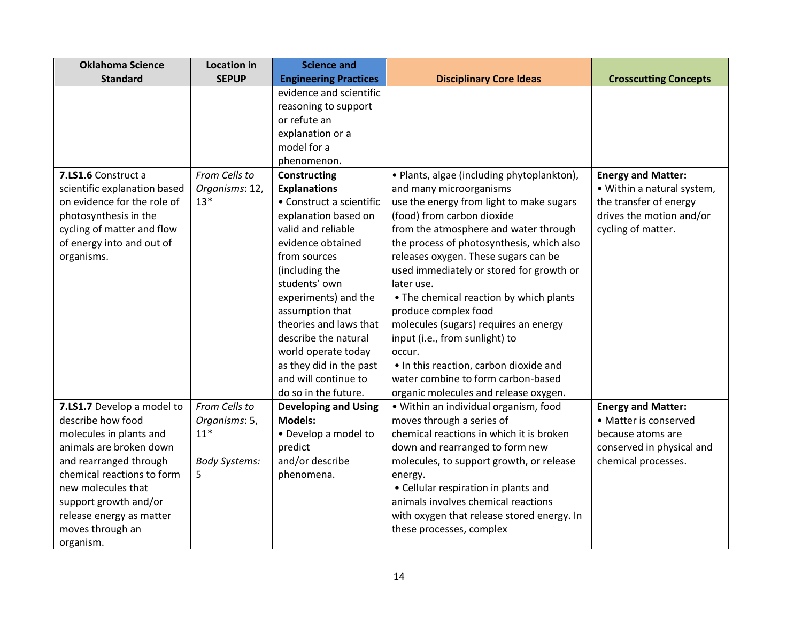| <b>Oklahoma Science</b>      | <b>Location in</b>   | <b>Science and</b>           |                                            |                              |
|------------------------------|----------------------|------------------------------|--------------------------------------------|------------------------------|
| <b>Standard</b>              | <b>SEPUP</b>         | <b>Engineering Practices</b> | <b>Disciplinary Core Ideas</b>             | <b>Crosscutting Concepts</b> |
|                              |                      | evidence and scientific      |                                            |                              |
|                              |                      | reasoning to support         |                                            |                              |
|                              |                      | or refute an                 |                                            |                              |
|                              |                      | explanation or a             |                                            |                              |
|                              |                      | model for a                  |                                            |                              |
|                              |                      | phenomenon.                  |                                            |                              |
| 7.LS1.6 Construct a          | From Cells to        | <b>Constructing</b>          | • Plants, algae (including phytoplankton), | <b>Energy and Matter:</b>    |
| scientific explanation based | Organisms: 12,       | <b>Explanations</b>          | and many microorganisms                    | • Within a natural system,   |
| on evidence for the role of  | $13*$                | • Construct a scientific     | use the energy from light to make sugars   | the transfer of energy       |
| photosynthesis in the        |                      | explanation based on         | (food) from carbon dioxide                 | drives the motion and/or     |
| cycling of matter and flow   |                      | valid and reliable           | from the atmosphere and water through      | cycling of matter.           |
| of energy into and out of    |                      | evidence obtained            | the process of photosynthesis, which also  |                              |
| organisms.                   |                      | from sources                 | releases oxygen. These sugars can be       |                              |
|                              |                      | (including the               | used immediately or stored for growth or   |                              |
|                              |                      | students' own                | later use.                                 |                              |
|                              |                      | experiments) and the         | • The chemical reaction by which plants    |                              |
|                              |                      | assumption that              | produce complex food                       |                              |
|                              |                      | theories and laws that       | molecules (sugars) requires an energy      |                              |
|                              |                      | describe the natural         | input (i.e., from sunlight) to             |                              |
|                              |                      | world operate today          | occur.                                     |                              |
|                              |                      | as they did in the past      | . In this reaction, carbon dioxide and     |                              |
|                              |                      | and will continue to         | water combine to form carbon-based         |                              |
|                              |                      | do so in the future.         | organic molecules and release oxygen.      |                              |
| 7.LS1.7 Develop a model to   | From Cells to        | <b>Developing and Using</b>  | • Within an individual organism, food      | <b>Energy and Matter:</b>    |
| describe how food            | Organisms: 5,        | <b>Models:</b>               | moves through a series of                  | • Matter is conserved        |
| molecules in plants and      | $11*$                | • Develop a model to         | chemical reactions in which it is broken   | because atoms are            |
| animals are broken down      |                      | predict                      | down and rearranged to form new            | conserved in physical and    |
| and rearranged through       | <b>Body Systems:</b> | and/or describe              | molecules, to support growth, or release   | chemical processes.          |
| chemical reactions to form   | 5                    | phenomena.                   | energy.                                    |                              |
| new molecules that           |                      |                              | • Cellular respiration in plants and       |                              |
| support growth and/or        |                      |                              | animals involves chemical reactions        |                              |
| release energy as matter     |                      |                              | with oxygen that release stored energy. In |                              |
| moves through an             |                      |                              | these processes, complex                   |                              |
| organism.                    |                      |                              |                                            |                              |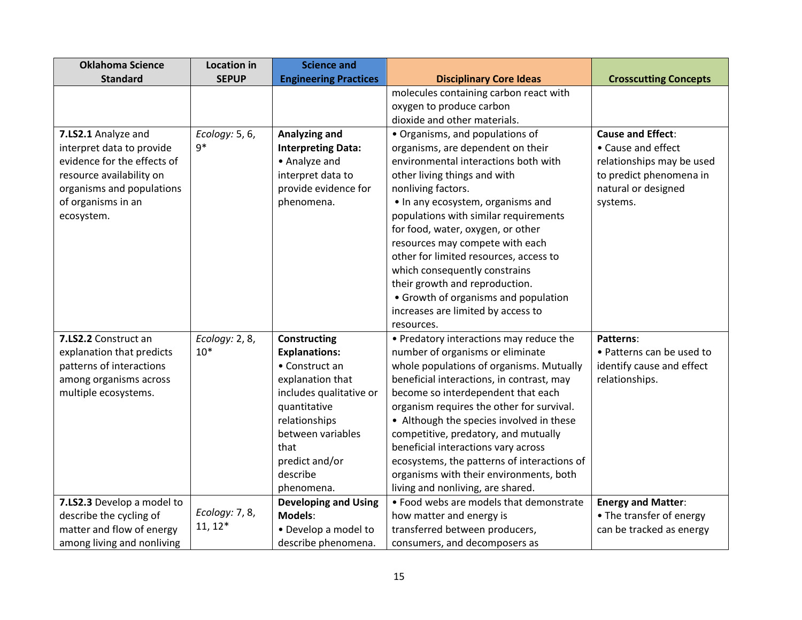| <b>Oklahoma Science</b>     | <b>Location in</b> | <b>Science and</b>           |                                             |                              |
|-----------------------------|--------------------|------------------------------|---------------------------------------------|------------------------------|
| <b>Standard</b>             | <b>SEPUP</b>       | <b>Engineering Practices</b> | <b>Disciplinary Core Ideas</b>              | <b>Crosscutting Concepts</b> |
|                             |                    |                              | molecules containing carbon react with      |                              |
|                             |                    |                              | oxygen to produce carbon                    |                              |
|                             |                    |                              | dioxide and other materials.                |                              |
| 7.LS2.1 Analyze and         | Ecology: 5, 6,     | Analyzing and                | • Organisms, and populations of             | <b>Cause and Effect:</b>     |
| interpret data to provide   | $9*$               | <b>Interpreting Data:</b>    | organisms, are dependent on their           | • Cause and effect           |
| evidence for the effects of |                    | • Analyze and                | environmental interactions both with        | relationships may be used    |
| resource availability on    |                    | interpret data to            | other living things and with                | to predict phenomena in      |
| organisms and populations   |                    | provide evidence for         | nonliving factors.                          | natural or designed          |
| of organisms in an          |                    | phenomena.                   | • In any ecosystem, organisms and           | systems.                     |
| ecosystem.                  |                    |                              | populations with similar requirements       |                              |
|                             |                    |                              | for food, water, oxygen, or other           |                              |
|                             |                    |                              | resources may compete with each             |                              |
|                             |                    |                              | other for limited resources, access to      |                              |
|                             |                    |                              | which consequently constrains               |                              |
|                             |                    |                              | their growth and reproduction.              |                              |
|                             |                    |                              | • Growth of organisms and population        |                              |
|                             |                    |                              | increases are limited by access to          |                              |
|                             |                    |                              | resources.                                  |                              |
| 7.LS2.2 Construct an        | Ecology: 2, 8,     | <b>Constructing</b>          | • Predatory interactions may reduce the     | Patterns:                    |
| explanation that predicts   | $10*$              | <b>Explanations:</b>         | number of organisms or eliminate            | • Patterns can be used to    |
| patterns of interactions    |                    | • Construct an               | whole populations of organisms. Mutually    | identify cause and effect    |
| among organisms across      |                    | explanation that             | beneficial interactions, in contrast, may   | relationships.               |
| multiple ecosystems.        |                    | includes qualitative or      | become so interdependent that each          |                              |
|                             |                    | quantitative                 | organism requires the other for survival.   |                              |
|                             |                    | relationships                | • Although the species involved in these    |                              |
|                             |                    | between variables            | competitive, predatory, and mutually        |                              |
|                             |                    | that                         | beneficial interactions vary across         |                              |
|                             |                    | predict and/or               | ecosystems, the patterns of interactions of |                              |
|                             |                    | describe                     | organisms with their environments, both     |                              |
|                             |                    | phenomena.                   | living and nonliving, are shared.           |                              |
| 7.LS2.3 Develop a model to  | Ecology: 7, 8,     | <b>Developing and Using</b>  | . Food webs are models that demonstrate     | <b>Energy and Matter:</b>    |
| describe the cycling of     | $11, 12*$          | Models:                      | how matter and energy is                    | • The transfer of energy     |
| matter and flow of energy   |                    | • Develop a model to         | transferred between producers,              | can be tracked as energy     |
| among living and nonliving  |                    | describe phenomena.          | consumers, and decomposers as               |                              |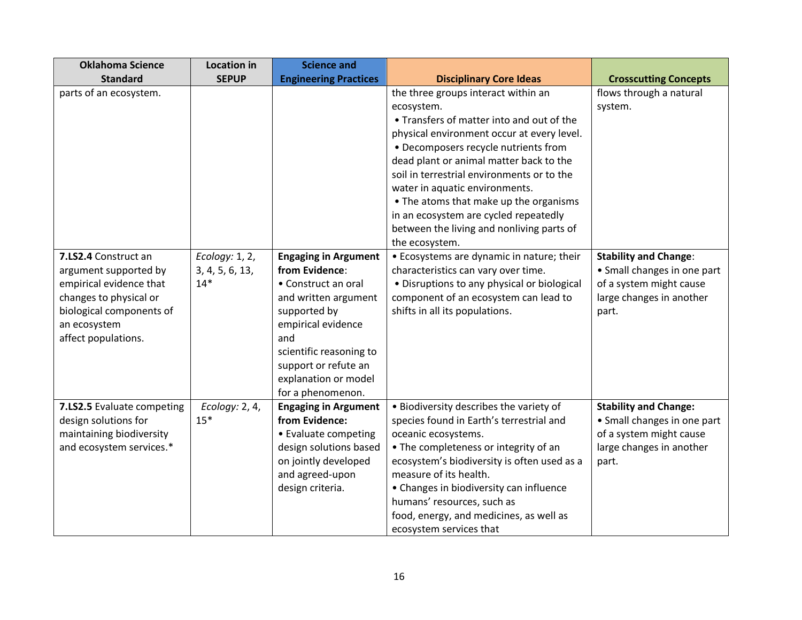| <b>Oklahoma Science</b>    | <b>Location in</b> | <b>Science and</b>                               |                                             |                              |
|----------------------------|--------------------|--------------------------------------------------|---------------------------------------------|------------------------------|
| <b>Standard</b>            | <b>SEPUP</b>       | <b>Engineering Practices</b>                     | <b>Disciplinary Core Ideas</b>              | <b>Crosscutting Concepts</b> |
| parts of an ecosystem.     |                    |                                                  | the three groups interact within an         | flows through a natural      |
|                            |                    |                                                  | ecosystem.                                  | system.                      |
|                            |                    |                                                  | • Transfers of matter into and out of the   |                              |
|                            |                    |                                                  | physical environment occur at every level.  |                              |
|                            |                    |                                                  | • Decomposers recycle nutrients from        |                              |
|                            |                    |                                                  | dead plant or animal matter back to the     |                              |
|                            |                    |                                                  | soil in terrestrial environments or to the  |                              |
|                            |                    |                                                  | water in aquatic environments.              |                              |
|                            |                    |                                                  | • The atoms that make up the organisms      |                              |
|                            |                    |                                                  | in an ecosystem are cycled repeatedly       |                              |
|                            |                    |                                                  | between the living and nonliving parts of   |                              |
|                            |                    |                                                  | the ecosystem.                              |                              |
| 7.LS2.4 Construct an       | Ecology: 1, 2,     | <b>Engaging in Argument</b>                      | • Ecosystems are dynamic in nature; their   | <b>Stability and Change:</b> |
| argument supported by      | 3, 4, 5, 6, 13,    | from Evidence:                                   | characteristics can vary over time.         | • Small changes in one part  |
| empirical evidence that    | $14*$              | • Construct an oral                              | • Disruptions to any physical or biological | of a system might cause      |
| changes to physical or     |                    | and written argument                             | component of an ecosystem can lead to       | large changes in another     |
| biological components of   |                    | supported by                                     | shifts in all its populations.              | part.                        |
| an ecosystem               |                    | empirical evidence                               |                                             |                              |
| affect populations.        |                    | and                                              |                                             |                              |
|                            |                    | scientific reasoning to                          |                                             |                              |
|                            |                    | support or refute an                             |                                             |                              |
|                            |                    | explanation or model                             |                                             |                              |
| 7.LS2.5 Evaluate competing | Ecology: 2, 4,     | for a phenomenon.<br><b>Engaging in Argument</b> | . Biodiversity describes the variety of     | <b>Stability and Change:</b> |
| design solutions for       | $15*$              | from Evidence:                                   | species found in Earth's terrestrial and    | • Small changes in one part  |
| maintaining biodiversity   |                    | • Evaluate competing                             | oceanic ecosystems.                         | of a system might cause      |
| and ecosystem services.*   |                    | design solutions based                           | • The completeness or integrity of an       | large changes in another     |
|                            |                    | on jointly developed                             | ecosystem's biodiversity is often used as a | part.                        |
|                            |                    | and agreed-upon                                  | measure of its health.                      |                              |
|                            |                    | design criteria.                                 | • Changes in biodiversity can influence     |                              |
|                            |                    |                                                  | humans' resources, such as                  |                              |
|                            |                    |                                                  | food, energy, and medicines, as well as     |                              |
|                            |                    |                                                  | ecosystem services that                     |                              |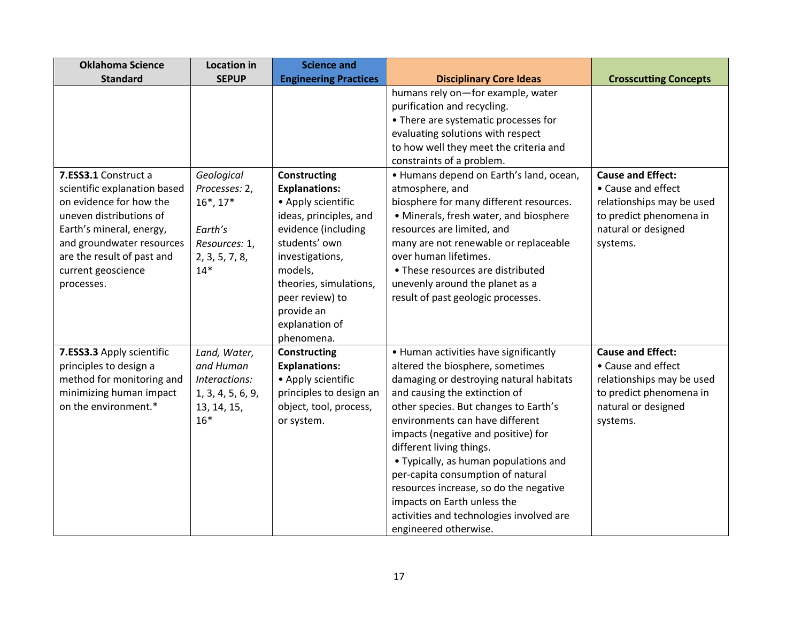| <b>Oklahoma Science</b>                                                                                                                                                                                                               | <b>Location in</b>                                                                                    | <b>Science and</b>                                                                                                                                                                                                                                           |                                                                                                                                                                                                                                                                                                                                                                                                                                                                                                                                  |                                                                                                                                           |
|---------------------------------------------------------------------------------------------------------------------------------------------------------------------------------------------------------------------------------------|-------------------------------------------------------------------------------------------------------|--------------------------------------------------------------------------------------------------------------------------------------------------------------------------------------------------------------------------------------------------------------|----------------------------------------------------------------------------------------------------------------------------------------------------------------------------------------------------------------------------------------------------------------------------------------------------------------------------------------------------------------------------------------------------------------------------------------------------------------------------------------------------------------------------------|-------------------------------------------------------------------------------------------------------------------------------------------|
| <b>Standard</b>                                                                                                                                                                                                                       | <b>SEPUP</b>                                                                                          | <b>Engineering Practices</b>                                                                                                                                                                                                                                 | <b>Disciplinary Core Ideas</b>                                                                                                                                                                                                                                                                                                                                                                                                                                                                                                   | <b>Crosscutting Concepts</b>                                                                                                              |
|                                                                                                                                                                                                                                       |                                                                                                       |                                                                                                                                                                                                                                                              | humans rely on-for example, water<br>purification and recycling.<br>• There are systematic processes for<br>evaluating solutions with respect<br>to how well they meet the criteria and<br>constraints of a problem.                                                                                                                                                                                                                                                                                                             |                                                                                                                                           |
| 7.ESS3.1 Construct a<br>scientific explanation based<br>on evidence for how the<br>uneven distributions of<br>Earth's mineral, energy,<br>and groundwater resources<br>are the result of past and<br>current geoscience<br>processes. | Geological<br>Processes: 2,<br>$16^*$ , $17^*$<br>Earth's<br>Resources: 1,<br>2, 3, 5, 7, 8,<br>$14*$ | <b>Constructing</b><br><b>Explanations:</b><br>• Apply scientific<br>ideas, principles, and<br>evidence (including<br>students' own<br>investigations,<br>models,<br>theories, simulations,<br>peer review) to<br>provide an<br>explanation of<br>phenomena. | • Humans depend on Earth's land, ocean,<br>atmosphere, and<br>biosphere for many different resources.<br>• Minerals, fresh water, and biosphere<br>resources are limited, and<br>many are not renewable or replaceable<br>over human lifetimes.<br>• These resources are distributed<br>unevenly around the planet as a<br>result of past geologic processes.                                                                                                                                                                    | <b>Cause and Effect:</b><br>• Cause and effect<br>relationships may be used<br>to predict phenomena in<br>natural or designed<br>systems. |
| 7.ESS3.3 Apply scientific<br>principles to design a<br>method for monitoring and<br>minimizing human impact<br>on the environment.*                                                                                                   | Land, Water,<br>and Human<br>Interactions:<br>1, 3, 4, 5, 6, 9,<br>13, 14, 15,<br>$16*$               | <b>Constructing</b><br><b>Explanations:</b><br>• Apply scientific<br>principles to design an<br>object, tool, process,<br>or system.                                                                                                                         | • Human activities have significantly<br>altered the biosphere, sometimes<br>damaging or destroying natural habitats<br>and causing the extinction of<br>other species. But changes to Earth's<br>environments can have different<br>impacts (negative and positive) for<br>different living things.<br>• Typically, as human populations and<br>per-capita consumption of natural<br>resources increase, so do the negative<br>impacts on Earth unless the<br>activities and technologies involved are<br>engineered otherwise. | <b>Cause and Effect:</b><br>• Cause and effect<br>relationships may be used<br>to predict phenomena in<br>natural or designed<br>systems. |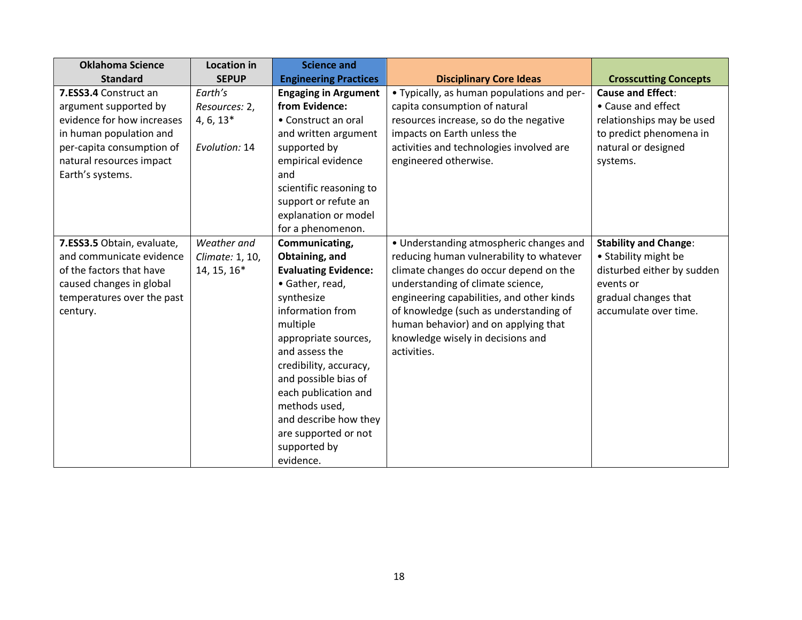| <b>Oklahoma Science</b>                                                                                                                                                              | <b>Location in</b>                                       | <b>Science and</b>                                                                                                                                                                                                                                                                                                                                  |                                                                                                                                                                                                                                                                                                                                                       |                                                                                                                                                  |
|--------------------------------------------------------------------------------------------------------------------------------------------------------------------------------------|----------------------------------------------------------|-----------------------------------------------------------------------------------------------------------------------------------------------------------------------------------------------------------------------------------------------------------------------------------------------------------------------------------------------------|-------------------------------------------------------------------------------------------------------------------------------------------------------------------------------------------------------------------------------------------------------------------------------------------------------------------------------------------------------|--------------------------------------------------------------------------------------------------------------------------------------------------|
| <b>Standard</b>                                                                                                                                                                      | <b>SEPUP</b>                                             | <b>Engineering Practices</b>                                                                                                                                                                                                                                                                                                                        | <b>Disciplinary Core Ideas</b>                                                                                                                                                                                                                                                                                                                        | <b>Crosscutting Concepts</b>                                                                                                                     |
| 7.ESS3.4 Construct an<br>argument supported by<br>evidence for how increases<br>in human population and<br>per-capita consumption of<br>natural resources impact<br>Earth's systems. | Earth's<br>Resources: 2,<br>$4, 6, 13*$<br>Evolution: 14 | <b>Engaging in Argument</b><br>from Evidence:<br>• Construct an oral<br>and written argument<br>supported by<br>empirical evidence<br>and<br>scientific reasoning to<br>support or refute an<br>explanation or model<br>for a phenomenon.                                                                                                           | • Typically, as human populations and per-<br>capita consumption of natural<br>resources increase, so do the negative<br>impacts on Earth unless the<br>activities and technologies involved are<br>engineered otherwise.                                                                                                                             | <b>Cause and Effect:</b><br>• Cause and effect<br>relationships may be used<br>to predict phenomena in<br>natural or designed<br>systems.        |
| 7.ESS3.5 Obtain, evaluate,<br>and communicate evidence<br>of the factors that have<br>caused changes in global<br>temperatures over the past<br>century.                             | Weather and<br>Climate: 1, 10,<br>14, 15, 16*            | Communicating,<br>Obtaining, and<br><b>Evaluating Evidence:</b><br>• Gather, read,<br>synthesize<br>information from<br>multiple<br>appropriate sources,<br>and assess the<br>credibility, accuracy,<br>and possible bias of<br>each publication and<br>methods used,<br>and describe how they<br>are supported or not<br>supported by<br>evidence. | • Understanding atmospheric changes and<br>reducing human vulnerability to whatever<br>climate changes do occur depend on the<br>understanding of climate science,<br>engineering capabilities, and other kinds<br>of knowledge (such as understanding of<br>human behavior) and on applying that<br>knowledge wisely in decisions and<br>activities. | <b>Stability and Change:</b><br>• Stability might be<br>disturbed either by sudden<br>events or<br>gradual changes that<br>accumulate over time. |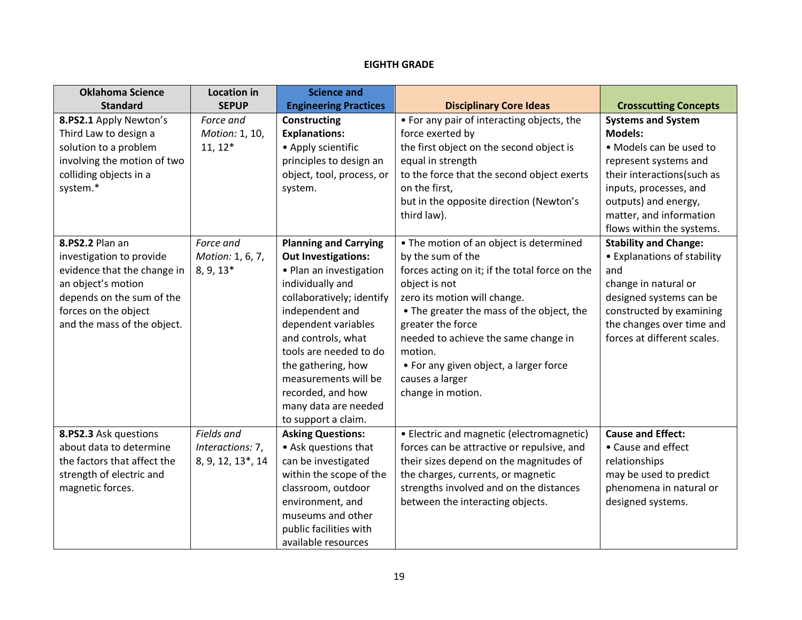# **EIGHTH GRADE**

| <b>Oklahoma Science</b>     | <b>Location in</b> | <b>Science and</b>           |                                                |                              |
|-----------------------------|--------------------|------------------------------|------------------------------------------------|------------------------------|
| <b>Standard</b>             | <b>SEPUP</b>       | <b>Engineering Practices</b> | <b>Disciplinary Core Ideas</b>                 | <b>Crosscutting Concepts</b> |
| 8.PS2.1 Apply Newton's      | Force and          | Constructing                 | • For any pair of interacting objects, the     | <b>Systems and System</b>    |
| Third Law to design a       | Motion: 1, 10,     | <b>Explanations:</b>         | force exerted by                               | <b>Models:</b>               |
| solution to a problem       | $11, 12*$          | • Apply scientific           | the first object on the second object is       | • Models can be used to      |
| involving the motion of two |                    | principles to design an      | equal in strength                              | represent systems and        |
| colliding objects in a      |                    | object, tool, process, or    | to the force that the second object exerts     | their interactions(such as   |
| system.*                    |                    | system.                      | on the first.                                  | inputs, processes, and       |
|                             |                    |                              | but in the opposite direction (Newton's        | outputs) and energy,         |
|                             |                    |                              | third law).                                    | matter, and information      |
|                             |                    |                              |                                                | flows within the systems.    |
| 8.PS2.2 Plan an             | Force and          | <b>Planning and Carrying</b> | • The motion of an object is determined        | <b>Stability and Change:</b> |
| investigation to provide    | Motion: 1, 6, 7,   | <b>Out Investigations:</b>   | by the sum of the                              | • Explanations of stability  |
| evidence that the change in | 8, 9, 13*          | • Plan an investigation      | forces acting on it; if the total force on the | and                          |
| an object's motion          |                    | individually and             | object is not                                  | change in natural or         |
| depends on the sum of the   |                    | collaboratively; identify    | zero its motion will change.                   | designed systems can be      |
| forces on the object        |                    | independent and              | • The greater the mass of the object, the      | constructed by examining     |
| and the mass of the object. |                    | dependent variables          | greater the force                              | the changes over time and    |
|                             |                    | and controls, what           | needed to achieve the same change in           | forces at different scales.  |
|                             |                    | tools are needed to do       | motion.                                        |                              |
|                             |                    | the gathering, how           | • For any given object, a larger force         |                              |
|                             |                    | measurements will be         | causes a larger                                |                              |
|                             |                    | recorded, and how            | change in motion.                              |                              |
|                             |                    | many data are needed         |                                                |                              |
|                             |                    | to support a claim.          |                                                |                              |
| 8.PS2.3 Ask questions       | Fields and         | <b>Asking Questions:</b>     | • Electric and magnetic (electromagnetic)      | <b>Cause and Effect:</b>     |
| about data to determine     | Interactions: 7,   | • Ask questions that         | forces can be attractive or repulsive, and     | • Cause and effect           |
| the factors that affect the | 8, 9, 12, 13*, 14  | can be investigated          | their sizes depend on the magnitudes of        | relationships                |
| strength of electric and    |                    | within the scope of the      | the charges, currents, or magnetic             | may be used to predict       |
| magnetic forces.            |                    | classroom, outdoor           | strengths involved and on the distances        | phenomena in natural or      |
|                             |                    | environment, and             | between the interacting objects.               | designed systems.            |
|                             |                    | museums and other            |                                                |                              |
|                             |                    | public facilities with       |                                                |                              |
|                             |                    | available resources          |                                                |                              |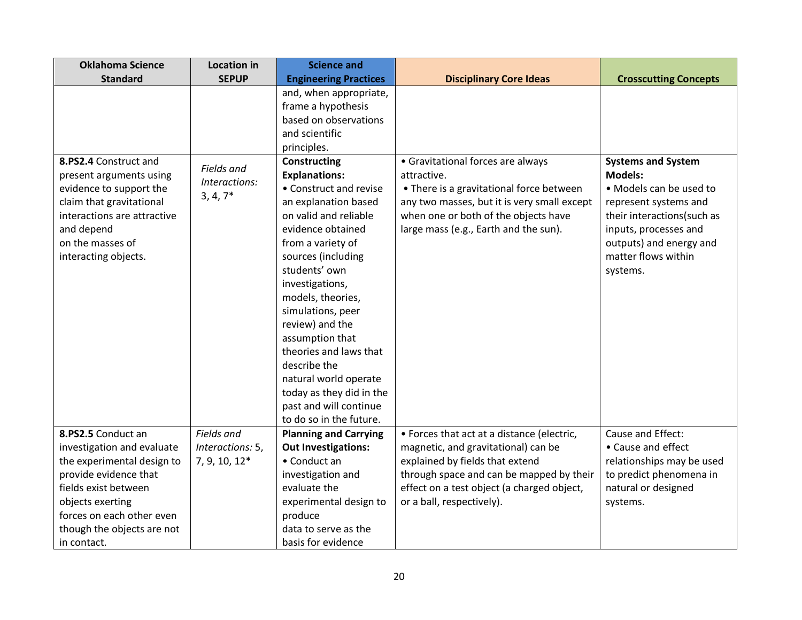| <b>Oklahoma Science</b>     | <b>Location in</b> | <b>Science and</b>           |                                             |                              |
|-----------------------------|--------------------|------------------------------|---------------------------------------------|------------------------------|
| <b>Standard</b>             | <b>SEPUP</b>       | <b>Engineering Practices</b> | <b>Disciplinary Core Ideas</b>              | <b>Crosscutting Concepts</b> |
|                             |                    | and, when appropriate,       |                                             |                              |
|                             |                    | frame a hypothesis           |                                             |                              |
|                             |                    | based on observations        |                                             |                              |
|                             |                    | and scientific               |                                             |                              |
|                             |                    | principles.                  |                                             |                              |
| 8.PS2.4 Construct and       | Fields and         | <b>Constructing</b>          | • Gravitational forces are always           | <b>Systems and System</b>    |
| present arguments using     | Interactions:      | <b>Explanations:</b>         | attractive.                                 | <b>Models:</b>               |
| evidence to support the     | $3, 4, 7*$         | • Construct and revise       | • There is a gravitational force between    | • Models can be used to      |
| claim that gravitational    |                    | an explanation based         | any two masses, but it is very small except | represent systems and        |
| interactions are attractive |                    | on valid and reliable        | when one or both of the objects have        | their interactions(such as   |
| and depend                  |                    | evidence obtained            | large mass (e.g., Earth and the sun).       | inputs, processes and        |
| on the masses of            |                    | from a variety of            |                                             | outputs) and energy and      |
| interacting objects.        |                    | sources (including           |                                             | matter flows within          |
|                             |                    | students' own                |                                             | systems.                     |
|                             |                    | investigations,              |                                             |                              |
|                             |                    | models, theories,            |                                             |                              |
|                             |                    | simulations, peer            |                                             |                              |
|                             |                    | review) and the              |                                             |                              |
|                             |                    | assumption that              |                                             |                              |
|                             |                    | theories and laws that       |                                             |                              |
|                             |                    | describe the                 |                                             |                              |
|                             |                    | natural world operate        |                                             |                              |
|                             |                    | today as they did in the     |                                             |                              |
|                             |                    | past and will continue       |                                             |                              |
|                             |                    | to do so in the future.      |                                             |                              |
| 8.PS2.5 Conduct an          | Fields and         | <b>Planning and Carrying</b> | • Forces that act at a distance (electric,  | Cause and Effect:            |
| investigation and evaluate  | Interactions: 5,   | <b>Out Investigations:</b>   | magnetic, and gravitational) can be         | • Cause and effect           |
| the experimental design to  | 7, 9, 10, 12*      | • Conduct an                 | explained by fields that extend             | relationships may be used    |
| provide evidence that       |                    | investigation and            | through space and can be mapped by their    | to predict phenomena in      |
| fields exist between        |                    | evaluate the                 | effect on a test object (a charged object,  | natural or designed          |
| objects exerting            |                    | experimental design to       | or a ball, respectively).                   | systems.                     |
| forces on each other even   |                    | produce                      |                                             |                              |
| though the objects are not  |                    | data to serve as the         |                                             |                              |
| in contact.                 |                    | basis for evidence           |                                             |                              |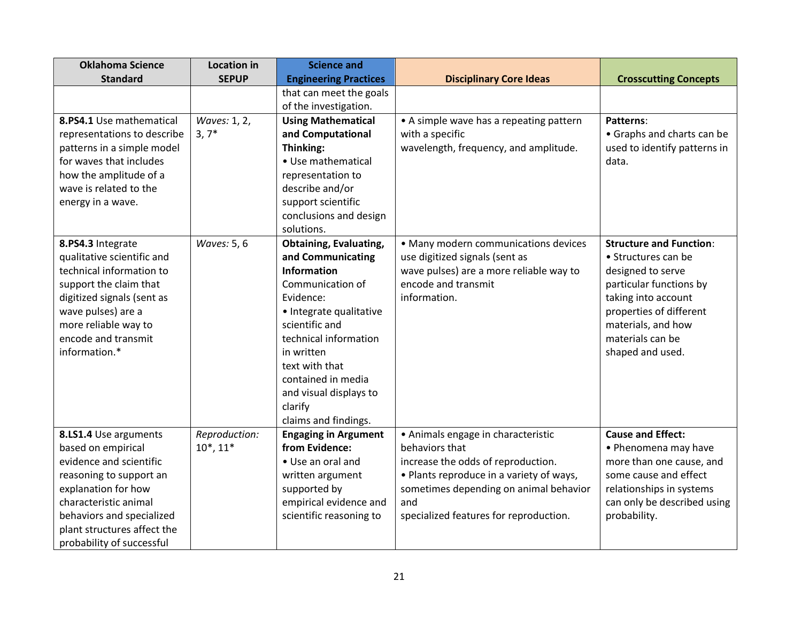| <b>Oklahoma Science</b>     | <b>Location in</b> | <b>Science and</b>                            |                                                      |                                |
|-----------------------------|--------------------|-----------------------------------------------|------------------------------------------------------|--------------------------------|
| <b>Standard</b>             | <b>SEPUP</b>       | <b>Engineering Practices</b>                  | <b>Disciplinary Core Ideas</b>                       | <b>Crosscutting Concepts</b>   |
|                             |                    | that can meet the goals                       |                                                      |                                |
|                             |                    | of the investigation.                         |                                                      |                                |
| 8.PS4.1 Use mathematical    | Waves: 1, 2,       | <b>Using Mathematical</b>                     | • A simple wave has a repeating pattern              | <b>Patterns:</b>               |
| representations to describe | $3, 7*$            | and Computational                             | with a specific                                      | • Graphs and charts can be     |
| patterns in a simple model  |                    | Thinking:                                     | wavelength, frequency, and amplitude.                | used to identify patterns in   |
| for waves that includes     |                    | • Use mathematical                            |                                                      | data.                          |
| how the amplitude of a      |                    | representation to                             |                                                      |                                |
| wave is related to the      |                    | describe and/or                               |                                                      |                                |
| energy in a wave.           |                    | support scientific                            |                                                      |                                |
|                             |                    | conclusions and design                        |                                                      |                                |
|                             |                    | solutions.                                    |                                                      |                                |
| 8.PS4.3 Integrate           | Waves: 5, 6        | <b>Obtaining, Evaluating,</b>                 | • Many modern communications devices                 | <b>Structure and Function:</b> |
| qualitative scientific and  |                    | and Communicating                             | use digitized signals (sent as                       | • Structures can be            |
| technical information to    |                    | <b>Information</b>                            | wave pulses) are a more reliable way to              | designed to serve              |
| support the claim that      |                    | Communication of                              | encode and transmit                                  | particular functions by        |
| digitized signals (sent as  |                    | Evidence:                                     | information.                                         | taking into account            |
| wave pulses) are a          |                    | • Integrate qualitative                       |                                                      | properties of different        |
| more reliable way to        |                    | scientific and                                |                                                      | materials, and how             |
| encode and transmit         |                    | technical information                         |                                                      | materials can be               |
| information.*               |                    | in written                                    |                                                      | shaped and used.               |
|                             |                    | text with that                                |                                                      |                                |
|                             |                    | contained in media                            |                                                      |                                |
|                             |                    | and visual displays to                        |                                                      |                                |
|                             |                    | clarify                                       |                                                      |                                |
|                             |                    | claims and findings.                          |                                                      |                                |
| 8.LS1.4 Use arguments       | Reproduction:      | <b>Engaging in Argument</b><br>from Evidence: | • Animals engage in characteristic<br>behaviors that | <b>Cause and Effect:</b>       |
| based on empirical          | $10^*$ , $11^*$    |                                               |                                                      | • Phenomena may have           |
| evidence and scientific     |                    | • Use an oral and                             | increase the odds of reproduction.                   | more than one cause, and       |
| reasoning to support an     |                    | written argument                              | • Plants reproduce in a variety of ways,             | some cause and effect          |
| explanation for how         |                    | supported by                                  | sometimes depending on animal behavior               | relationships in systems       |
| characteristic animal       |                    | empirical evidence and                        | and                                                  | can only be described using    |
| behaviors and specialized   |                    | scientific reasoning to                       | specialized features for reproduction.               | probability.                   |
| plant structures affect the |                    |                                               |                                                      |                                |
| probability of successful   |                    |                                               |                                                      |                                |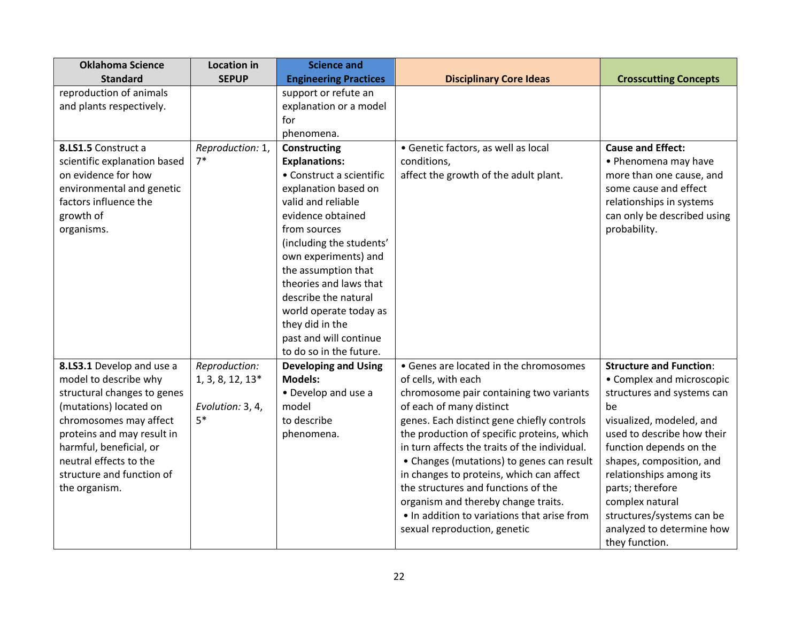| <b>Science and</b>           |                                                                                                                                                                                                                                                                                                                                                                                                                                                                                  |                                                                                                                                                                                                                                                                                                                                                                                                                                                                                                                                                                                                                                        |
|------------------------------|----------------------------------------------------------------------------------------------------------------------------------------------------------------------------------------------------------------------------------------------------------------------------------------------------------------------------------------------------------------------------------------------------------------------------------------------------------------------------------|----------------------------------------------------------------------------------------------------------------------------------------------------------------------------------------------------------------------------------------------------------------------------------------------------------------------------------------------------------------------------------------------------------------------------------------------------------------------------------------------------------------------------------------------------------------------------------------------------------------------------------------|
| <b>Engineering Practices</b> | <b>Disciplinary Core Ideas</b>                                                                                                                                                                                                                                                                                                                                                                                                                                                   | <b>Crosscutting Concepts</b>                                                                                                                                                                                                                                                                                                                                                                                                                                                                                                                                                                                                           |
| support or refute an         |                                                                                                                                                                                                                                                                                                                                                                                                                                                                                  |                                                                                                                                                                                                                                                                                                                                                                                                                                                                                                                                                                                                                                        |
| explanation or a model       |                                                                                                                                                                                                                                                                                                                                                                                                                                                                                  |                                                                                                                                                                                                                                                                                                                                                                                                                                                                                                                                                                                                                                        |
| for                          |                                                                                                                                                                                                                                                                                                                                                                                                                                                                                  |                                                                                                                                                                                                                                                                                                                                                                                                                                                                                                                                                                                                                                        |
| phenomena.                   |                                                                                                                                                                                                                                                                                                                                                                                                                                                                                  |                                                                                                                                                                                                                                                                                                                                                                                                                                                                                                                                                                                                                                        |
| Constructing                 |                                                                                                                                                                                                                                                                                                                                                                                                                                                                                  | <b>Cause and Effect:</b>                                                                                                                                                                                                                                                                                                                                                                                                                                                                                                                                                                                                               |
|                              |                                                                                                                                                                                                                                                                                                                                                                                                                                                                                  | • Phenomena may have                                                                                                                                                                                                                                                                                                                                                                                                                                                                                                                                                                                                                   |
|                              |                                                                                                                                                                                                                                                                                                                                                                                                                                                                                  | more than one cause, and                                                                                                                                                                                                                                                                                                                                                                                                                                                                                                                                                                                                               |
|                              |                                                                                                                                                                                                                                                                                                                                                                                                                                                                                  | some cause and effect                                                                                                                                                                                                                                                                                                                                                                                                                                                                                                                                                                                                                  |
|                              |                                                                                                                                                                                                                                                                                                                                                                                                                                                                                  | relationships in systems                                                                                                                                                                                                                                                                                                                                                                                                                                                                                                                                                                                                               |
|                              |                                                                                                                                                                                                                                                                                                                                                                                                                                                                                  | can only be described using                                                                                                                                                                                                                                                                                                                                                                                                                                                                                                                                                                                                            |
|                              |                                                                                                                                                                                                                                                                                                                                                                                                                                                                                  | probability.                                                                                                                                                                                                                                                                                                                                                                                                                                                                                                                                                                                                                           |
|                              |                                                                                                                                                                                                                                                                                                                                                                                                                                                                                  |                                                                                                                                                                                                                                                                                                                                                                                                                                                                                                                                                                                                                                        |
|                              |                                                                                                                                                                                                                                                                                                                                                                                                                                                                                  |                                                                                                                                                                                                                                                                                                                                                                                                                                                                                                                                                                                                                                        |
|                              |                                                                                                                                                                                                                                                                                                                                                                                                                                                                                  |                                                                                                                                                                                                                                                                                                                                                                                                                                                                                                                                                                                                                                        |
|                              |                                                                                                                                                                                                                                                                                                                                                                                                                                                                                  |                                                                                                                                                                                                                                                                                                                                                                                                                                                                                                                                                                                                                                        |
|                              |                                                                                                                                                                                                                                                                                                                                                                                                                                                                                  |                                                                                                                                                                                                                                                                                                                                                                                                                                                                                                                                                                                                                                        |
|                              |                                                                                                                                                                                                                                                                                                                                                                                                                                                                                  |                                                                                                                                                                                                                                                                                                                                                                                                                                                                                                                                                                                                                                        |
|                              |                                                                                                                                                                                                                                                                                                                                                                                                                                                                                  |                                                                                                                                                                                                                                                                                                                                                                                                                                                                                                                                                                                                                                        |
|                              |                                                                                                                                                                                                                                                                                                                                                                                                                                                                                  |                                                                                                                                                                                                                                                                                                                                                                                                                                                                                                                                                                                                                                        |
|                              |                                                                                                                                                                                                                                                                                                                                                                                                                                                                                  |                                                                                                                                                                                                                                                                                                                                                                                                                                                                                                                                                                                                                                        |
|                              |                                                                                                                                                                                                                                                                                                                                                                                                                                                                                  | <b>Structure and Function:</b>                                                                                                                                                                                                                                                                                                                                                                                                                                                                                                                                                                                                         |
|                              |                                                                                                                                                                                                                                                                                                                                                                                                                                                                                  | • Complex and microscopic                                                                                                                                                                                                                                                                                                                                                                                                                                                                                                                                                                                                              |
|                              |                                                                                                                                                                                                                                                                                                                                                                                                                                                                                  | structures and systems can                                                                                                                                                                                                                                                                                                                                                                                                                                                                                                                                                                                                             |
|                              |                                                                                                                                                                                                                                                                                                                                                                                                                                                                                  | be                                                                                                                                                                                                                                                                                                                                                                                                                                                                                                                                                                                                                                     |
|                              |                                                                                                                                                                                                                                                                                                                                                                                                                                                                                  | visualized, modeled, and<br>used to describe how their                                                                                                                                                                                                                                                                                                                                                                                                                                                                                                                                                                                 |
|                              |                                                                                                                                                                                                                                                                                                                                                                                                                                                                                  |                                                                                                                                                                                                                                                                                                                                                                                                                                                                                                                                                                                                                                        |
|                              |                                                                                                                                                                                                                                                                                                                                                                                                                                                                                  | function depends on the<br>shapes, composition, and                                                                                                                                                                                                                                                                                                                                                                                                                                                                                                                                                                                    |
|                              |                                                                                                                                                                                                                                                                                                                                                                                                                                                                                  |                                                                                                                                                                                                                                                                                                                                                                                                                                                                                                                                                                                                                                        |
|                              |                                                                                                                                                                                                                                                                                                                                                                                                                                                                                  | relationships among its<br>parts; therefore                                                                                                                                                                                                                                                                                                                                                                                                                                                                                                                                                                                            |
|                              |                                                                                                                                                                                                                                                                                                                                                                                                                                                                                  | complex natural                                                                                                                                                                                                                                                                                                                                                                                                                                                                                                                                                                                                                        |
|                              |                                                                                                                                                                                                                                                                                                                                                                                                                                                                                  | structures/systems can be                                                                                                                                                                                                                                                                                                                                                                                                                                                                                                                                                                                                              |
|                              |                                                                                                                                                                                                                                                                                                                                                                                                                                                                                  | analyzed to determine how                                                                                                                                                                                                                                                                                                                                                                                                                                                                                                                                                                                                              |
|                              |                                                                                                                                                                                                                                                                                                                                                                                                                                                                                  | they function.                                                                                                                                                                                                                                                                                                                                                                                                                                                                                                                                                                                                                         |
|                              | <b>Explanations:</b><br>• Construct a scientific<br>explanation based on<br>valid and reliable<br>evidence obtained<br>from sources<br>(including the students'<br>own experiments) and<br>the assumption that<br>theories and laws that<br>describe the natural<br>world operate today as<br>they did in the<br>past and will continue<br>to do so in the future.<br><b>Developing and Using</b><br><b>Models:</b><br>• Develop and use a<br>model<br>to describe<br>phenomena. | · Genetic factors, as well as local<br>conditions,<br>affect the growth of the adult plant.<br>• Genes are located in the chromosomes<br>of cells, with each<br>chromosome pair containing two variants<br>of each of many distinct<br>genes. Each distinct gene chiefly controls<br>the production of specific proteins, which<br>in turn affects the traits of the individual.<br>• Changes (mutations) to genes can result<br>in changes to proteins, which can affect<br>the structures and functions of the<br>organism and thereby change traits.<br>• In addition to variations that arise from<br>sexual reproduction, genetic |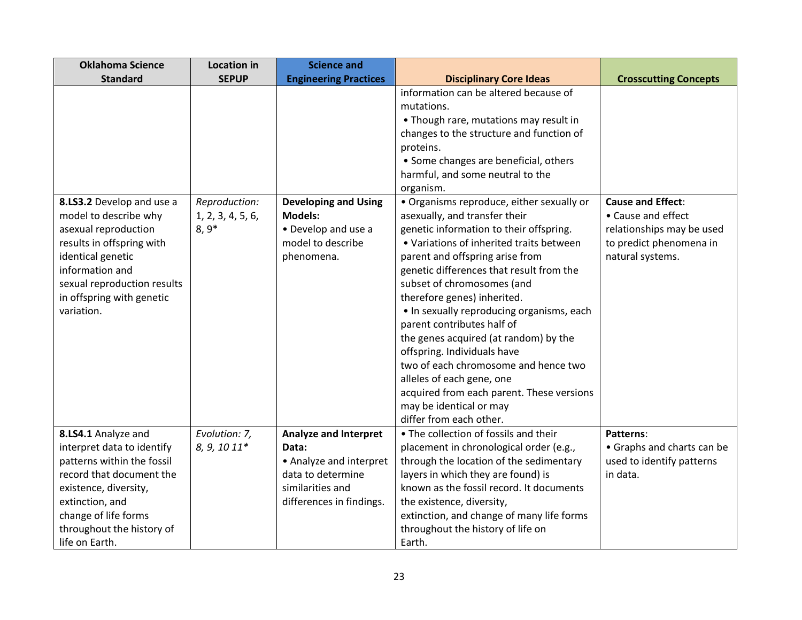| <b>Oklahoma Science</b>     | <b>Location in</b> | <b>Science and</b>           |                                                                     |                              |
|-----------------------------|--------------------|------------------------------|---------------------------------------------------------------------|------------------------------|
| <b>Standard</b>             | <b>SEPUP</b>       | <b>Engineering Practices</b> | <b>Disciplinary Core Ideas</b>                                      | <b>Crosscutting Concepts</b> |
|                             |                    |                              | information can be altered because of                               |                              |
|                             |                    |                              | mutations.                                                          |                              |
|                             |                    |                              | • Though rare, mutations may result in                              |                              |
|                             |                    |                              | changes to the structure and function of                            |                              |
|                             |                    |                              | proteins.                                                           |                              |
|                             |                    |                              | • Some changes are beneficial, others                               |                              |
|                             |                    |                              | harmful, and some neutral to the                                    |                              |
|                             |                    |                              | organism.                                                           |                              |
| 8.LS3.2 Develop and use a   | Reproduction:      | <b>Developing and Using</b>  | • Organisms reproduce, either sexually or                           | <b>Cause and Effect:</b>     |
| model to describe why       | 1, 2, 3, 4, 5, 6,  | <b>Models:</b>               | asexually, and transfer their                                       | • Cause and effect           |
| asexual reproduction        | $8,9*$             | • Develop and use a          | genetic information to their offspring.                             | relationships may be used    |
| results in offspring with   |                    | model to describe            | • Variations of inherited traits between                            | to predict phenomena in      |
| identical genetic           |                    | phenomena.                   | parent and offspring arise from                                     | natural systems.             |
| information and             |                    |                              | genetic differences that result from the                            |                              |
| sexual reproduction results |                    |                              | subset of chromosomes (and                                          |                              |
| in offspring with genetic   |                    |                              | therefore genes) inherited.                                         |                              |
| variation.                  |                    |                              | • In sexually reproducing organisms, each                           |                              |
|                             |                    |                              | parent contributes half of                                          |                              |
|                             |                    |                              | the genes acquired (at random) by the                               |                              |
|                             |                    |                              | offspring. Individuals have<br>two of each chromosome and hence two |                              |
|                             |                    |                              | alleles of each gene, one                                           |                              |
|                             |                    |                              | acquired from each parent. These versions                           |                              |
|                             |                    |                              | may be identical or may                                             |                              |
|                             |                    |                              | differ from each other.                                             |                              |
| 8.LS4.1 Analyze and         | Evolution: 7,      | <b>Analyze and Interpret</b> | • The collection of fossils and their                               | Patterns:                    |
| interpret data to identify  | 8, 9, 10 11*       | Data:                        | placement in chronological order (e.g.,                             | • Graphs and charts can be   |
| patterns within the fossil  |                    | • Analyze and interpret      | through the location of the sedimentary                             | used to identify patterns    |
| record that document the    |                    | data to determine            | layers in which they are found) is                                  | in data.                     |
| existence, diversity,       |                    | similarities and             | known as the fossil record. It documents                            |                              |
| extinction, and             |                    | differences in findings.     | the existence, diversity,                                           |                              |
| change of life forms        |                    |                              | extinction, and change of many life forms                           |                              |
| throughout the history of   |                    |                              | throughout the history of life on                                   |                              |
| life on Earth.              |                    |                              | Earth.                                                              |                              |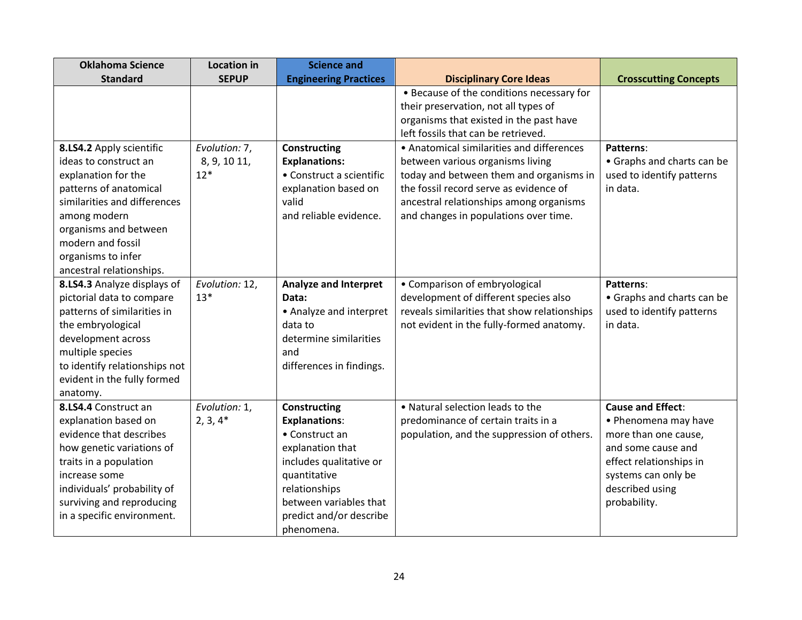| <b>Oklahoma Science</b>       | <b>Location in</b> | <b>Science and</b>           |                                              |                              |
|-------------------------------|--------------------|------------------------------|----------------------------------------------|------------------------------|
| <b>Standard</b>               | <b>SEPUP</b>       | <b>Engineering Practices</b> | <b>Disciplinary Core Ideas</b>               | <b>Crosscutting Concepts</b> |
|                               |                    |                              | • Because of the conditions necessary for    |                              |
|                               |                    |                              | their preservation, not all types of         |                              |
|                               |                    |                              | organisms that existed in the past have      |                              |
|                               |                    |                              | left fossils that can be retrieved.          |                              |
| 8.LS4.2 Apply scientific      | Evolution: 7,      | <b>Constructing</b>          | • Anatomical similarities and differences    | Patterns:                    |
| ideas to construct an         | 8, 9, 10 11,       | <b>Explanations:</b>         | between various organisms living             | • Graphs and charts can be   |
| explanation for the           | $12*$              | • Construct a scientific     | today and between them and organisms in      | used to identify patterns    |
| patterns of anatomical        |                    | explanation based on         | the fossil record serve as evidence of       | in data.                     |
| similarities and differences  |                    | valid                        | ancestral relationships among organisms      |                              |
| among modern                  |                    | and reliable evidence.       | and changes in populations over time.        |                              |
| organisms and between         |                    |                              |                                              |                              |
| modern and fossil             |                    |                              |                                              |                              |
| organisms to infer            |                    |                              |                                              |                              |
| ancestral relationships.      |                    |                              |                                              |                              |
| 8.LS4.3 Analyze displays of   | Evolution: 12,     | <b>Analyze and Interpret</b> | • Comparison of embryological                | Patterns:                    |
| pictorial data to compare     | $13*$              | Data:                        | development of different species also        | • Graphs and charts can be   |
| patterns of similarities in   |                    | • Analyze and interpret      | reveals similarities that show relationships | used to identify patterns    |
| the embryological             |                    | data to                      | not evident in the fully-formed anatomy.     | in data.                     |
| development across            |                    | determine similarities       |                                              |                              |
| multiple species              |                    | and                          |                                              |                              |
| to identify relationships not |                    | differences in findings.     |                                              |                              |
| evident in the fully formed   |                    |                              |                                              |                              |
| anatomy.                      |                    |                              |                                              |                              |
| 8.LS4.4 Construct an          | Evolution: 1,      | <b>Constructing</b>          | • Natural selection leads to the             | <b>Cause and Effect:</b>     |
| explanation based on          | $2, 3, 4*$         | <b>Explanations:</b>         | predominance of certain traits in a          | • Phenomena may have         |
| evidence that describes       |                    | • Construct an               | population, and the suppression of others.   | more than one cause,         |
| how genetic variations of     |                    | explanation that             |                                              | and some cause and           |
| traits in a population        |                    | includes qualitative or      |                                              | effect relationships in      |
| increase some                 |                    | quantitative                 |                                              | systems can only be          |
| individuals' probability of   |                    | relationships                |                                              | described using              |
| surviving and reproducing     |                    | between variables that       |                                              | probability.                 |
| in a specific environment.    |                    | predict and/or describe      |                                              |                              |
|                               |                    | phenomena.                   |                                              |                              |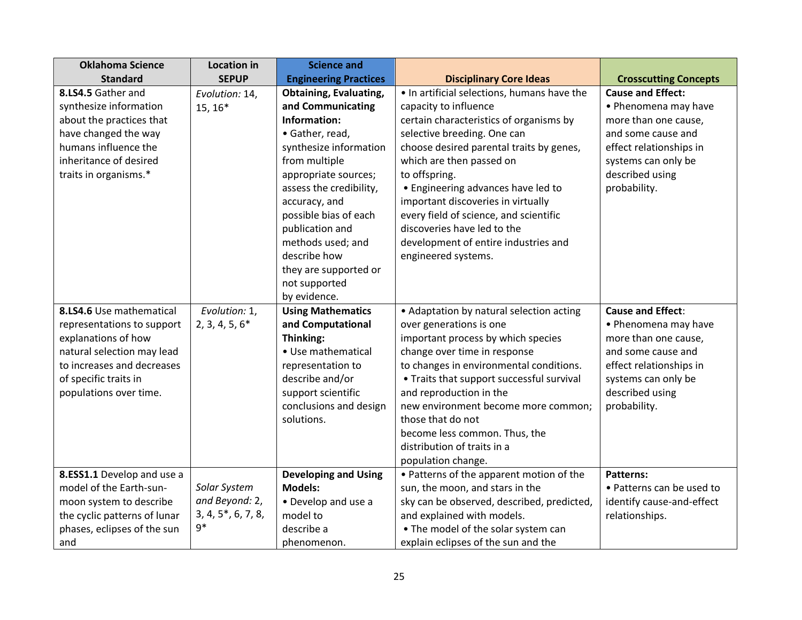| <b>Oklahoma Science</b>      | <b>Location in</b> | <b>Science and</b>            |                                             |                              |
|------------------------------|--------------------|-------------------------------|---------------------------------------------|------------------------------|
| <b>Standard</b>              | <b>SEPUP</b>       | <b>Engineering Practices</b>  | <b>Disciplinary Core Ideas</b>              | <b>Crosscutting Concepts</b> |
| 8.LS4.5 Gather and           | Evolution: 14,     | <b>Obtaining, Evaluating,</b> | . In artificial selections, humans have the | <b>Cause and Effect:</b>     |
| synthesize information       | $15, 16*$          | and Communicating             | capacity to influence                       | • Phenomena may have         |
| about the practices that     |                    | Information:                  | certain characteristics of organisms by     | more than one cause,         |
| have changed the way         |                    | • Gather, read,               | selective breeding. One can                 | and some cause and           |
| humans influence the         |                    | synthesize information        | choose desired parental traits by genes,    | effect relationships in      |
| inheritance of desired       |                    | from multiple                 | which are then passed on                    | systems can only be          |
| traits in organisms.*        |                    | appropriate sources;          | to offspring.                               | described using              |
|                              |                    | assess the credibility,       | • Engineering advances have led to          | probability.                 |
|                              |                    | accuracy, and                 | important discoveries in virtually          |                              |
|                              |                    | possible bias of each         | every field of science, and scientific      |                              |
|                              |                    | publication and               | discoveries have led to the                 |                              |
|                              |                    | methods used; and             | development of entire industries and        |                              |
|                              |                    | describe how                  | engineered systems.                         |                              |
|                              |                    | they are supported or         |                                             |                              |
|                              |                    | not supported                 |                                             |                              |
|                              |                    | by evidence.                  |                                             |                              |
| 8.LS4.6 Use mathematical     | Evolution: 1,      | <b>Using Mathematics</b>      | • Adaptation by natural selection acting    | <b>Cause and Effect:</b>     |
| representations to support   | $2, 3, 4, 5, 6*$   | and Computational             | over generations is one                     | • Phenomena may have         |
| explanations of how          |                    | Thinking:                     | important process by which species          | more than one cause,         |
| natural selection may lead   |                    | • Use mathematical            | change over time in response                | and some cause and           |
| to increases and decreases   |                    | representation to             | to changes in environmental conditions.     | effect relationships in      |
| of specific traits in        |                    | describe and/or               | • Traits that support successful survival   | systems can only be          |
| populations over time.       |                    | support scientific            | and reproduction in the                     | described using              |
|                              |                    | conclusions and design        | new environment become more common;         | probability.                 |
|                              |                    | solutions.                    | those that do not                           |                              |
|                              |                    |                               | become less common. Thus, the               |                              |
|                              |                    |                               | distribution of traits in a                 |                              |
|                              |                    |                               | population change.                          |                              |
| 8.ESS1.1 Develop and use a   |                    | <b>Developing and Using</b>   | • Patterns of the apparent motion of the    | <b>Patterns:</b>             |
| model of the Earth-sun-      | Solar System       | <b>Models:</b>                | sun, the moon, and stars in the             | • Patterns can be used to    |
| moon system to describe      | and Beyond: 2,     | • Develop and use a           | sky can be observed, described, predicted,  | identify cause-and-effect    |
| the cyclic patterns of lunar | 3, 4, 5, 6, 7, 8,  | model to                      | and explained with models.                  | relationships.               |
| phases, eclipses of the sun  | $9*$               | describe a                    | • The model of the solar system can         |                              |
| and                          |                    | phenomenon.                   | explain eclipses of the sun and the         |                              |